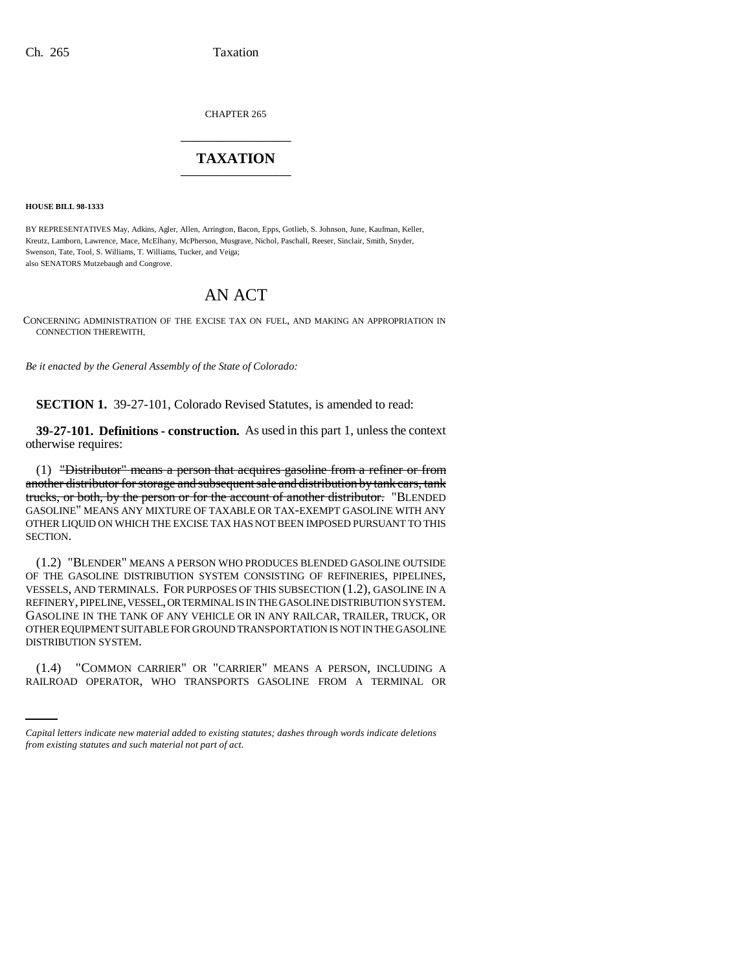CHAPTER 265 \_\_\_\_\_\_\_\_\_\_\_\_\_\_\_

# **TAXATION** \_\_\_\_\_\_\_\_\_\_\_\_\_\_\_

**HOUSE BILL 98-1333**

BY REPRESENTATIVES May, Adkins, Agler, Allen, Arrington, Bacon, Epps, Gotlieb, S. Johnson, June, Kaufman, Keller, Kreutz, Lamborn, Lawrence, Mace, McElhany, McPherson, Musgrave, Nichol, Paschall, Reeser, Sinclair, Smith, Snyder, Swenson, Tate, Tool, S. Williams, T. Williams, Tucker, and Veiga; also SENATORS Mutzebaugh and Congrove.

# AN ACT

CONCERNING ADMINISTRATION OF THE EXCISE TAX ON FUEL, AND MAKING AN APPROPRIATION IN CONNECTION THEREWITH.

*Be it enacted by the General Assembly of the State of Colorado:*

**SECTION 1.** 39-27-101, Colorado Revised Statutes, is amended to read:

**39-27-101. Definitions - construction.** As used in this part 1, unless the context otherwise requires:

(1) "Distributor" means a person that acquires gasoline from a refiner or from another distributor for storage and subsequent sale and distribution by tank cars, tank trucks, or both, by the person or for the account of another distributor. "BLENDED GASOLINE" MEANS ANY MIXTURE OF TAXABLE OR TAX-EXEMPT GASOLINE WITH ANY OTHER LIQUID ON WHICH THE EXCISE TAX HAS NOT BEEN IMPOSED PURSUANT TO THIS SECTION.

(1.2) "BLENDER" MEANS A PERSON WHO PRODUCES BLENDED GASOLINE OUTSIDE OF THE GASOLINE DISTRIBUTION SYSTEM CONSISTING OF REFINERIES, PIPELINES, VESSELS, AND TERMINALS. FOR PURPOSES OF THIS SUBSECTION (1.2), GASOLINE IN A REFINERY, PIPELINE, VESSEL, OR TERMINAL IS IN THE GASOLINE DISTRIBUTION SYSTEM. GASOLINE IN THE TANK OF ANY VEHICLE OR IN ANY RAILCAR, TRAILER, TRUCK, OR OTHER EQUIPMENT SUITABLE FOR GROUND TRANSPORTATION IS NOT IN THE GASOLINE DISTRIBUTION SYSTEM.

 (1.4) "COMMON CARRIER" OR "CARRIER" MEANS A PERSON, INCLUDING A RAILROAD OPERATOR, WHO TRANSPORTS GASOLINE FROM A TERMINAL OR

*Capital letters indicate new material added to existing statutes; dashes through words indicate deletions from existing statutes and such material not part of act.*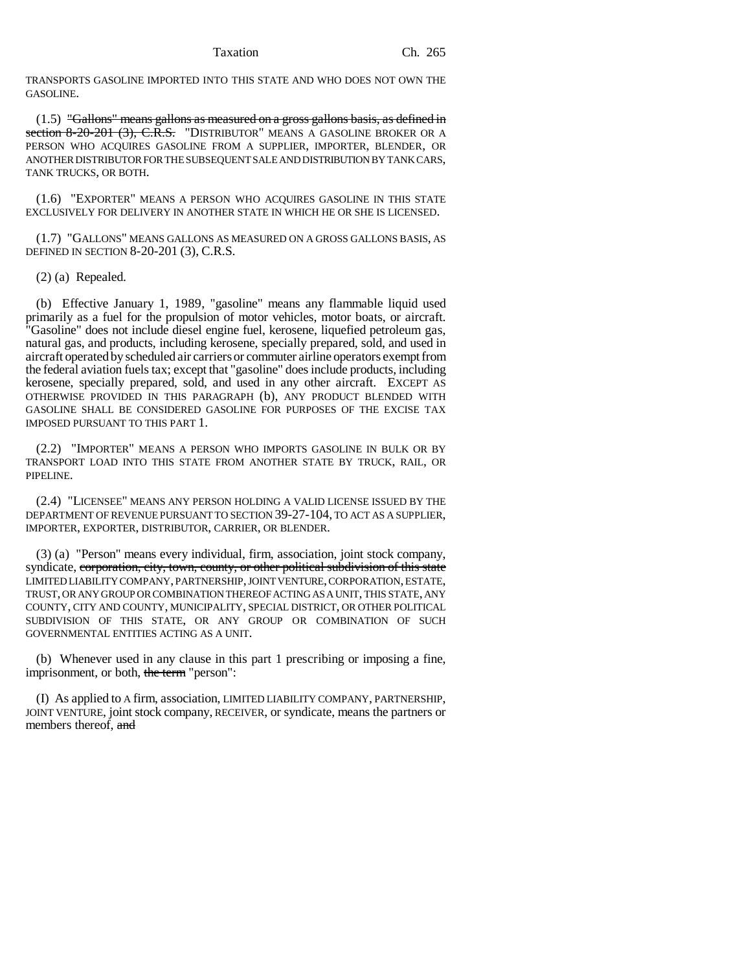TRANSPORTS GASOLINE IMPORTED INTO THIS STATE AND WHO DOES NOT OWN THE GASOLINE.

(1.5) "Gallons" means gallons as measured on a gross gallons basis, as defined in section 8-20-201 (3), C.R.S. "DISTRIBUTOR" MEANS A GASOLINE BROKER OR A PERSON WHO ACQUIRES GASOLINE FROM A SUPPLIER, IMPORTER, BLENDER, OR ANOTHER DISTRIBUTOR FOR THE SUBSEQUENT SALE AND DISTRIBUTION BY TANK CARS, TANK TRUCKS, OR BOTH.

(1.6) "EXPORTER" MEANS A PERSON WHO ACQUIRES GASOLINE IN THIS STATE EXCLUSIVELY FOR DELIVERY IN ANOTHER STATE IN WHICH HE OR SHE IS LICENSED.

(1.7) "GALLONS" MEANS GALLONS AS MEASURED ON A GROSS GALLONS BASIS, AS DEFINED IN SECTION 8-20-201 (3), C.R.S.

(2) (a) Repealed.

(b) Effective January 1, 1989, "gasoline" means any flammable liquid used primarily as a fuel for the propulsion of motor vehicles, motor boats, or aircraft. "Gasoline" does not include diesel engine fuel, kerosene, liquefied petroleum gas, natural gas, and products, including kerosene, specially prepared, sold, and used in aircraft operated by scheduled air carriers or commuter airline operators exempt from the federal aviation fuels tax; except that "gasoline" does include products, including kerosene, specially prepared, sold, and used in any other aircraft. EXCEPT AS OTHERWISE PROVIDED IN THIS PARAGRAPH (b), ANY PRODUCT BLENDED WITH GASOLINE SHALL BE CONSIDERED GASOLINE FOR PURPOSES OF THE EXCISE TAX IMPOSED PURSUANT TO THIS PART 1.

(2.2) "IMPORTER" MEANS A PERSON WHO IMPORTS GASOLINE IN BULK OR BY TRANSPORT LOAD INTO THIS STATE FROM ANOTHER STATE BY TRUCK, RAIL, OR PIPELINE.

(2.4) "LICENSEE" MEANS ANY PERSON HOLDING A VALID LICENSE ISSUED BY THE DEPARTMENT OF REVENUE PURSUANT TO SECTION 39-27-104, TO ACT AS A SUPPLIER, IMPORTER, EXPORTER, DISTRIBUTOR, CARRIER, OR BLENDER.

(3) (a) "Person" means every individual, firm, association, joint stock company, syndicate, corporation, city, town, county, or other political subdivision of this state<br>LIMITED LIABILITY COMPANY, PARTNERSHIP, JOINT VENTURE, CORPORATION, ESTATE, TRUST, OR ANY GROUP OR COMBINATION THEREOF ACTING AS A UNIT, THIS STATE, ANY COUNTY, CITY AND COUNTY, MUNICIPALITY, SPECIAL DISTRICT, OR OTHER POLITICAL SUBDIVISION OF THIS STATE, OR ANY GROUP OR COMBINATION OF SUCH GOVERNMENTAL ENTITIES ACTING AS A UNIT.

(b) Whenever used in any clause in this part 1 prescribing or imposing a fine, imprisonment, or both, the term "person":

(I) As applied to A firm, association, LIMITED LIABILITY COMPANY, PARTNERSHIP, JOINT VENTURE, joint stock company, RECEIVER, or syndicate, means the partners or members thereof, and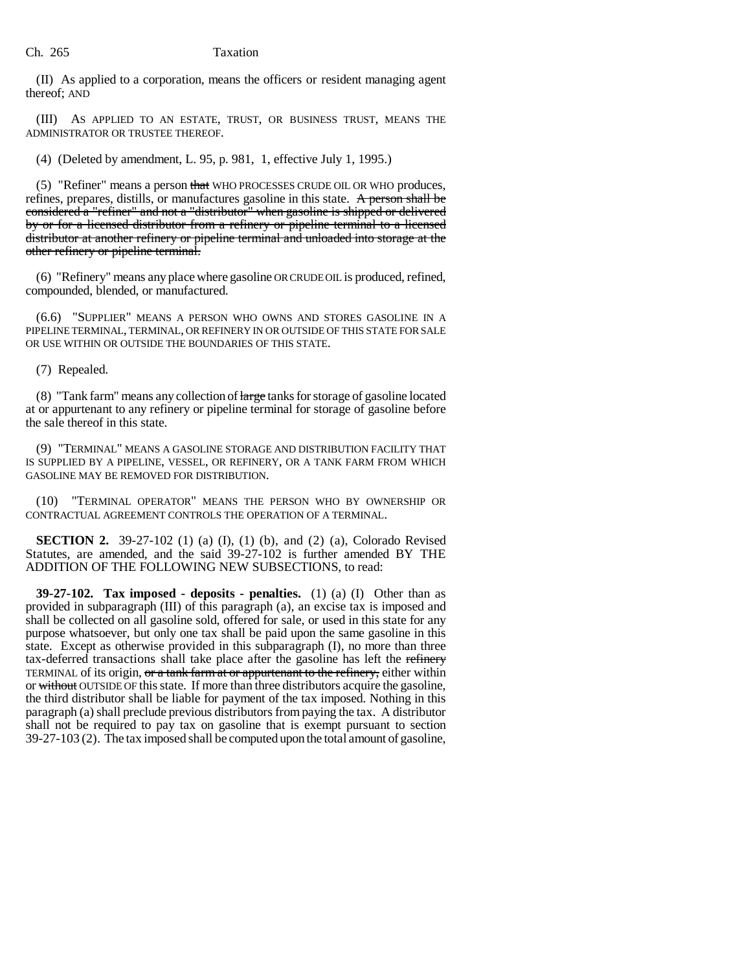(II) As applied to a corporation, means the officers or resident managing agent thereof; AND

(III) AS APPLIED TO AN ESTATE, TRUST, OR BUSINESS TRUST, MEANS THE ADMINISTRATOR OR TRUSTEE THEREOF.

(4) (Deleted by amendment, L. 95, p. 981, 1, effective July 1, 1995.)

(5) "Refiner" means a person that WHO PROCESSES CRUDE OIL OR WHO produces, refines, prepares, distills, or manufactures gasoline in this state. A person shall be considered a "refiner" and not a "distributor" when gasoline is shipped or delivered by or for a licensed distributor from a refinery or pipeline terminal to a licensed distributor at another refinery or pipeline terminal and unloaded into storage at the other refinery or pipeline terminal.

(6) "Refinery" means any place where gasoline OR CRUDE OIL is produced, refined, compounded, blended, or manufactured.

(6.6) "SUPPLIER" MEANS A PERSON WHO OWNS AND STORES GASOLINE IN A PIPELINE TERMINAL, TERMINAL, OR REFINERY IN OR OUTSIDE OF THIS STATE FOR SALE OR USE WITHIN OR OUTSIDE THE BOUNDARIES OF THIS STATE.

(7) Repealed.

(8) "Tank farm" means any collection of  $\frac{1}{\text{large}}$  tanks for storage of gasoline located at or appurtenant to any refinery or pipeline terminal for storage of gasoline before the sale thereof in this state.

(9) "TERMINAL" MEANS A GASOLINE STORAGE AND DISTRIBUTION FACILITY THAT IS SUPPLIED BY A PIPELINE, VESSEL, OR REFINERY, OR A TANK FARM FROM WHICH GASOLINE MAY BE REMOVED FOR DISTRIBUTION.

(10) "TERMINAL OPERATOR" MEANS THE PERSON WHO BY OWNERSHIP OR CONTRACTUAL AGREEMENT CONTROLS THE OPERATION OF A TERMINAL.

**SECTION 2.** 39-27-102 (1) (a) (I), (1) (b), and (2) (a), Colorado Revised Statutes, are amended, and the said 39-27-102 is further amended BY THE ADDITION OF THE FOLLOWING NEW SUBSECTIONS, to read:

**39-27-102. Tax imposed - deposits - penalties.** (1) (a) (I) Other than as provided in subparagraph (III) of this paragraph (a), an excise tax is imposed and shall be collected on all gasoline sold, offered for sale, or used in this state for any purpose whatsoever, but only one tax shall be paid upon the same gasoline in this state. Except as otherwise provided in this subparagraph (I), no more than three tax-deferred transactions shall take place after the gasoline has left the refinery TERMINAL of its origin, or a tank farm at or appurtenant to the refinery, either within or without OUTSIDE OF this state. If more than three distributors acquire the gasoline, the third distributor shall be liable for payment of the tax imposed. Nothing in this paragraph (a) shall preclude previous distributors from paying the tax. A distributor shall not be required to pay tax on gasoline that is exempt pursuant to section 39-27-103 (2). The tax imposed shall be computed upon the total amount of gasoline,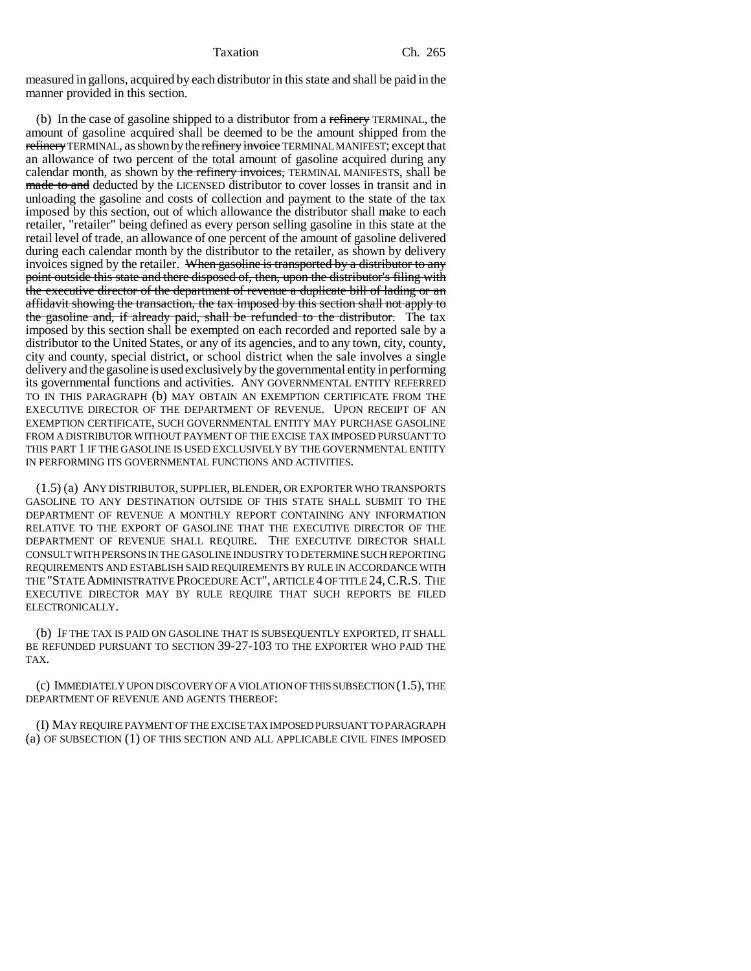measured in gallons, acquired by each distributor in this state and shall be paid in the manner provided in this section.

(b) In the case of gasoline shipped to a distributor from a refinery TERMINAL, the amount of gasoline acquired shall be deemed to be the amount shipped from the refinery TERMINAL, as shown by the refinery invoice TERMINAL MANIFEST; except that an allowance of two percent of the total amount of gasoline acquired during any calendar month, as shown by the refinery invoices, TERMINAL MANIFESTS, shall be made to and deducted by the LICENSED distributor to cover losses in transit and in unloading the gasoline and costs of collection and payment to the state of the tax imposed by this section, out of which allowance the distributor shall make to each retailer, "retailer" being defined as every person selling gasoline in this state at the retail level of trade, an allowance of one percent of the amount of gasoline delivered during each calendar month by the distributor to the retailer, as shown by delivery invoices signed by the retailer. When gasoline is transported by a distributor to any point outside this state and there disposed of, then, upon the distributor's filing with the executive director of the department of revenue a duplicate bill of lading or an affidavit showing the transaction, the tax imposed by this section shall not apply to the gasoline and, if already paid, shall be refunded to the distributor. The tax imposed by this section shall be exempted on each recorded and reported sale by a distributor to the United States, or any of its agencies, and to any town, city, county, city and county, special district, or school district when the sale involves a single delivery and the gasoline is used exclusively by the governmental entity in performing its governmental functions and activities. ANY GOVERNMENTAL ENTITY REFERRED TO IN THIS PARAGRAPH (b) MAY OBTAIN AN EXEMPTION CERTIFICATE FROM THE EXECUTIVE DIRECTOR OF THE DEPARTMENT OF REVENUE. UPON RECEIPT OF AN EXEMPTION CERTIFICATE, SUCH GOVERNMENTAL ENTITY MAY PURCHASE GASOLINE FROM A DISTRIBUTOR WITHOUT PAYMENT OF THE EXCISE TAX IMPOSED PURSUANT TO THIS PART 1 IF THE GASOLINE IS USED EXCLUSIVELY BY THE GOVERNMENTAL ENTITY IN PERFORMING ITS GOVERNMENTAL FUNCTIONS AND ACTIVITIES.

(1.5) (a) ANY DISTRIBUTOR, SUPPLIER, BLENDER, OR EXPORTER WHO TRANSPORTS GASOLINE TO ANY DESTINATION OUTSIDE OF THIS STATE SHALL SUBMIT TO THE DEPARTMENT OF REVENUE A MONTHLY REPORT CONTAINING ANY INFORMATION RELATIVE TO THE EXPORT OF GASOLINE THAT THE EXECUTIVE DIRECTOR OF THE DEPARTMENT OF REVENUE SHALL REQUIRE. THE EXECUTIVE DIRECTOR SHALL CONSULT WITH PERSONS IN THE GASOLINE INDUSTRY TO DETERMINE SUCH REPORTING REQUIREMENTS AND ESTABLISH SAID REQUIREMENTS BY RULE IN ACCORDANCE WITH THE "STATE ADMINISTRATIVE PROCEDURE ACT", ARTICLE 4 OF TITLE 24, C.R.S. THE EXECUTIVE DIRECTOR MAY BY RULE REQUIRE THAT SUCH REPORTS BE FILED ELECTRONICALLY.

(b) IF THE TAX IS PAID ON GASOLINE THAT IS SUBSEQUENTLY EXPORTED, IT SHALL BE REFUNDED PURSUANT TO SECTION 39-27-103 TO THE EXPORTER WHO PAID THE TAX.

(c) IMMEDIATELY UPON DISCOVERY OF A VIOLATION OF THIS SUBSECTION (1.5), THE DEPARTMENT OF REVENUE AND AGENTS THEREOF:

(I) MAY REQUIRE PAYMENT OF THE EXCISE TAX IMPOSED PURSUANT TO PARAGRAPH (a) OF SUBSECTION (1) OF THIS SECTION AND ALL APPLICABLE CIVIL FINES IMPOSED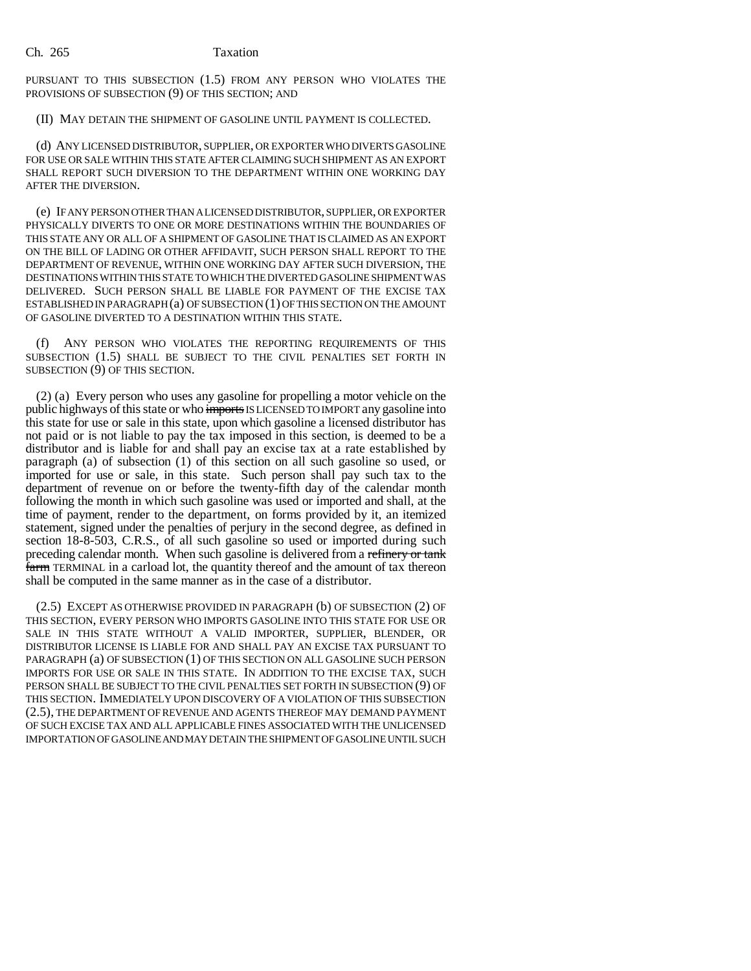PURSUANT TO THIS SUBSECTION (1.5) FROM ANY PERSON WHO VIOLATES THE PROVISIONS OF SUBSECTION (9) OF THIS SECTION; AND

(II) MAY DETAIN THE SHIPMENT OF GASOLINE UNTIL PAYMENT IS COLLECTED.

(d) ANY LICENSED DISTRIBUTOR, SUPPLIER, OR EXPORTER WHO DIVERTS GASOLINE FOR USE OR SALE WITHIN THIS STATE AFTER CLAIMING SUCH SHIPMENT AS AN EXPORT SHALL REPORT SUCH DIVERSION TO THE DEPARTMENT WITHIN ONE WORKING DAY AFTER THE DIVERSION.

(e) IF ANY PERSON OTHER THAN A LICENSED DISTRIBUTOR, SUPPLIER, OR EXPORTER PHYSICALLY DIVERTS TO ONE OR MORE DESTINATIONS WITHIN THE BOUNDARIES OF THIS STATE ANY OR ALL OF A SHIPMENT OF GASOLINE THAT IS CLAIMED AS AN EXPORT ON THE BILL OF LADING OR OTHER AFFIDAVIT, SUCH PERSON SHALL REPORT TO THE DEPARTMENT OF REVENUE, WITHIN ONE WORKING DAY AFTER SUCH DIVERSION, THE DESTINATIONS WITHIN THIS STATE TO WHICH THE DIVERTED GASOLINE SHIPMENT WAS DELIVERED. SUCH PERSON SHALL BE LIABLE FOR PAYMENT OF THE EXCISE TAX ESTABLISHED IN PARAGRAPH (a) OF SUBSECTION (1) OF THIS SECTION ON THE AMOUNT OF GASOLINE DIVERTED TO A DESTINATION WITHIN THIS STATE.

(f) ANY PERSON WHO VIOLATES THE REPORTING REQUIREMENTS OF THIS SUBSECTION (1.5) SHALL BE SUBJECT TO THE CIVIL PENALTIES SET FORTH IN SUBSECTION (9) OF THIS SECTION.

(2) (a) Every person who uses any gasoline for propelling a motor vehicle on the public highways of this state or who imports IS LICENSED TO IMPORT any gasoline into this state for use or sale in this state, upon which gasoline a licensed distributor has not paid or is not liable to pay the tax imposed in this section, is deemed to be a distributor and is liable for and shall pay an excise tax at a rate established by paragraph (a) of subsection (1) of this section on all such gasoline so used, or imported for use or sale, in this state. Such person shall pay such tax to the department of revenue on or before the twenty-fifth day of the calendar month following the month in which such gasoline was used or imported and shall, at the time of payment, render to the department, on forms provided by it, an itemized statement, signed under the penalties of perjury in the second degree, as defined in section 18-8-503, C.R.S., of all such gasoline so used or imported during such preceding calendar month. When such gasoline is delivered from a refinery or tank farm TERMINAL in a carload lot, the quantity thereof and the amount of tax thereon shall be computed in the same manner as in the case of a distributor.

(2.5) EXCEPT AS OTHERWISE PROVIDED IN PARAGRAPH (b) OF SUBSECTION (2) OF THIS SECTION, EVERY PERSON WHO IMPORTS GASOLINE INTO THIS STATE FOR USE OR SALE IN THIS STATE WITHOUT A VALID IMPORTER, SUPPLIER, BLENDER, OR DISTRIBUTOR LICENSE IS LIABLE FOR AND SHALL PAY AN EXCISE TAX PURSUANT TO PARAGRAPH (a) OF SUBSECTION (1) OF THIS SECTION ON ALL GASOLINE SUCH PERSON IMPORTS FOR USE OR SALE IN THIS STATE. IN ADDITION TO THE EXCISE TAX, SUCH PERSON SHALL BE SUBJECT TO THE CIVIL PENALTIES SET FORTH IN SUBSECTION (9) OF THIS SECTION. IMMEDIATELY UPON DISCOVERY OF A VIOLATION OF THIS SUBSECTION (2.5), THE DEPARTMENT OF REVENUE AND AGENTS THEREOF MAY DEMAND PAYMENT OF SUCH EXCISE TAX AND ALL APPLICABLE FINES ASSOCIATED WITH THE UNLICENSED IMPORTATION OF GASOLINE AND MAY DETAIN THE SHIPMENT OF GASOLINE UNTIL SUCH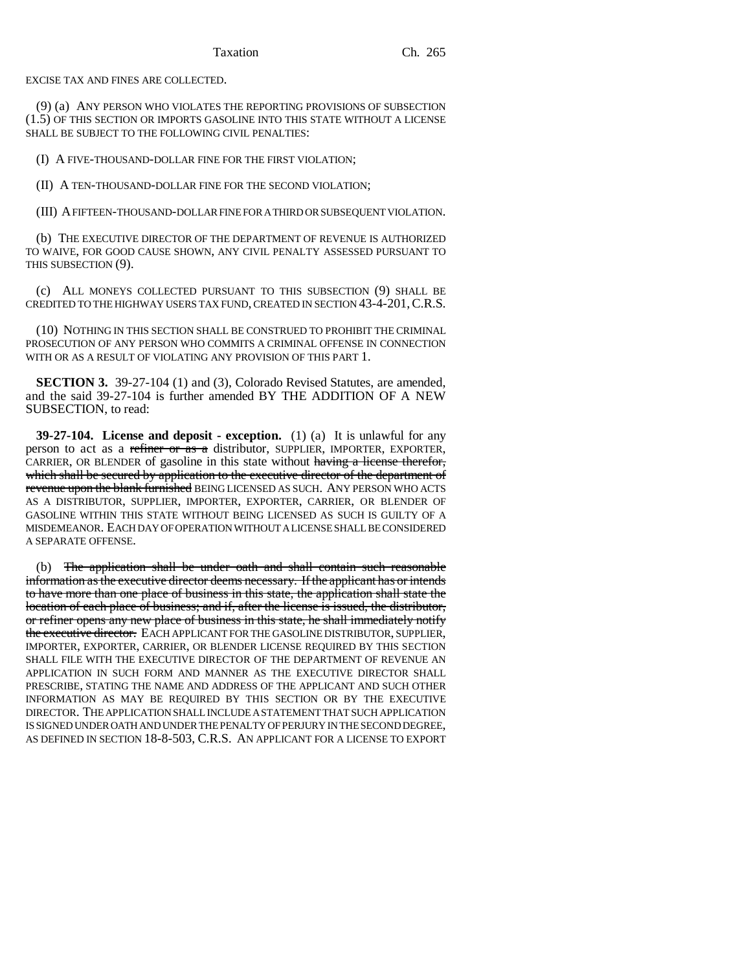EXCISE TAX AND FINES ARE COLLECTED.

(9) (a) ANY PERSON WHO VIOLATES THE REPORTING PROVISIONS OF SUBSECTION (1.5) OF THIS SECTION OR IMPORTS GASOLINE INTO THIS STATE WITHOUT A LICENSE SHALL BE SUBJECT TO THE FOLLOWING CIVIL PENALTIES:

(I) A FIVE-THOUSAND-DOLLAR FINE FOR THE FIRST VIOLATION;

(II) A TEN-THOUSAND-DOLLAR FINE FOR THE SECOND VIOLATION;

(III) A FIFTEEN-THOUSAND-DOLLAR FINE FOR A THIRD OR SUBSEQUENT VIOLATION.

(b) THE EXECUTIVE DIRECTOR OF THE DEPARTMENT OF REVENUE IS AUTHORIZED TO WAIVE, FOR GOOD CAUSE SHOWN, ANY CIVIL PENALTY ASSESSED PURSUANT TO THIS SUBSECTION (9).

(c) ALL MONEYS COLLECTED PURSUANT TO THIS SUBSECTION (9) SHALL BE CREDITED TO THE HIGHWAY USERS TAX FUND, CREATED IN SECTION 43-4-201, C.R.S.

(10) NOTHING IN THIS SECTION SHALL BE CONSTRUED TO PROHIBIT THE CRIMINAL PROSECUTION OF ANY PERSON WHO COMMITS A CRIMINAL OFFENSE IN CONNECTION WITH OR AS A RESULT OF VIOLATING ANY PROVISION OF THIS PART 1.

**SECTION 3.** 39-27-104 (1) and (3), Colorado Revised Statutes, are amended, and the said 39-27-104 is further amended BY THE ADDITION OF A NEW SUBSECTION, to read:

**39-27-104. License and deposit - exception.** (1) (a) It is unlawful for any person to act as a refiner or as a distributor, SUPPLIER, IMPORTER, EXPORTER, CARRIER, OR BLENDER of gasoline in this state without having a license therefor, which shall be secured by application to the executive director of the department of revenue upon the blank furnished BEING LICENSED AS SUCH. ANY PERSON WHO ACTS AS A DISTRIBUTOR, SUPPLIER, IMPORTER, EXPORTER, CARRIER, OR BLENDER OF GASOLINE WITHIN THIS STATE WITHOUT BEING LICENSED AS SUCH IS GUILTY OF A MISDEMEANOR. EACH DAY OF OPERATION WITHOUT A LICENSE SHALL BE CONSIDERED A SEPARATE OFFENSE.

(b) The application shall be under oath and shall contain such reasonable information as the executive director deems necessary. If the applicant has or intends to have more than one place of business in this state, the application shall state the location of each place of business; and if, after the license is issued, the distributor, or refiner opens any new place of business in this state, he shall immediately notify the executive director. EACH APPLICANT FOR THE GASOLINE DISTRIBUTOR, SUPPLIER, IMPORTER, EXPORTER, CARRIER, OR BLENDER LICENSE REQUIRED BY THIS SECTION SHALL FILE WITH THE EXECUTIVE DIRECTOR OF THE DEPARTMENT OF REVENUE AN APPLICATION IN SUCH FORM AND MANNER AS THE EXECUTIVE DIRECTOR SHALL PRESCRIBE, STATING THE NAME AND ADDRESS OF THE APPLICANT AND SUCH OTHER INFORMATION AS MAY BE REQUIRED BY THIS SECTION OR BY THE EXECUTIVE DIRECTOR. THE APPLICATION SHALL INCLUDE A STATEMENT THAT SUCH APPLICATION IS SIGNED UNDER OATH AND UNDER THE PENALTY OF PERJURY IN THE SECOND DEGREE, AS DEFINED IN SECTION 18-8-503, C.R.S. AN APPLICANT FOR A LICENSE TO EXPORT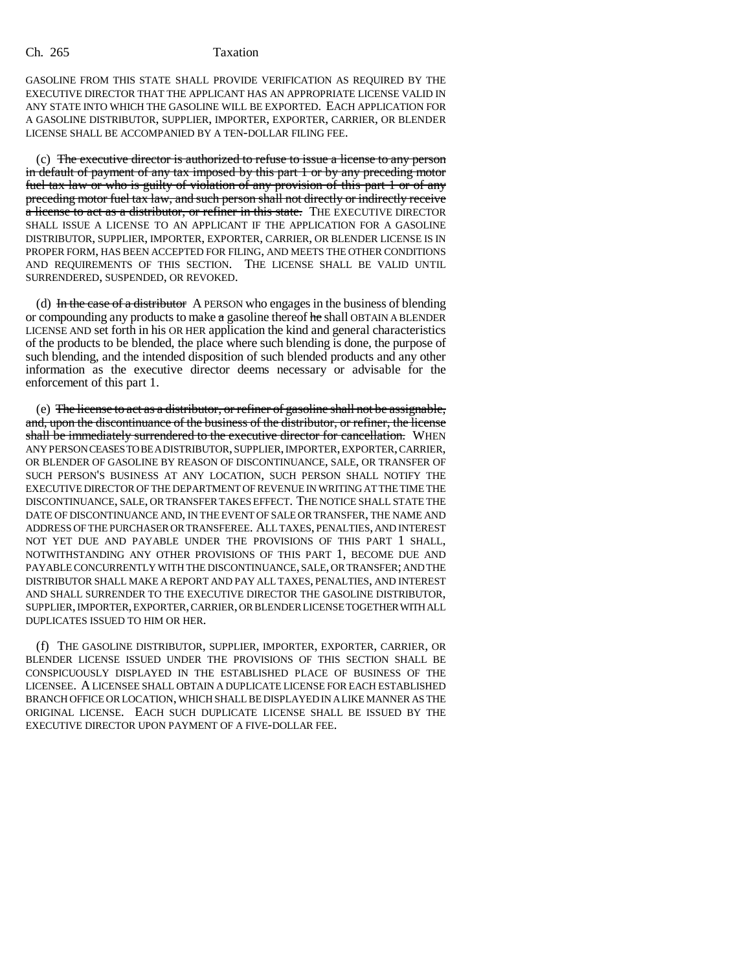GASOLINE FROM THIS STATE SHALL PROVIDE VERIFICATION AS REQUIRED BY THE EXECUTIVE DIRECTOR THAT THE APPLICANT HAS AN APPROPRIATE LICENSE VALID IN ANY STATE INTO WHICH THE GASOLINE WILL BE EXPORTED. EACH APPLICATION FOR A GASOLINE DISTRIBUTOR, SUPPLIER, IMPORTER, EXPORTER, CARRIER, OR BLENDER LICENSE SHALL BE ACCOMPANIED BY A TEN-DOLLAR FILING FEE.

(c) The executive director is authorized to refuse to issue a license to any person in default of payment of any tax imposed by this part 1 or by any preceding motor fuel tax law or who is guilty of violation of any provision of this part 1 or of any preceding motor fuel tax law, and such person shall not directly or indirectly receive a license to act as a distributor, or refiner in this state. THE EXECUTIVE DIRECTOR SHALL ISSUE A LICENSE TO AN APPLICANT IF THE APPLICATION FOR A GASOLINE DISTRIBUTOR, SUPPLIER, IMPORTER, EXPORTER, CARRIER, OR BLENDER LICENSE IS IN PROPER FORM, HAS BEEN ACCEPTED FOR FILING, AND MEETS THE OTHER CONDITIONS AND REQUIREMENTS OF THIS SECTION. THE LICENSE SHALL BE VALID UNTIL SURRENDERED, SUSPENDED, OR REVOKED.

(d) In the case of a distributor A PERSON who engages in the business of blending or compounding any products to make  $\alpha$  gasoline thereof  $\theta$  he shall OBTAIN A BLENDER LICENSE AND set forth in his OR HER application the kind and general characteristics of the products to be blended, the place where such blending is done, the purpose of such blending, and the intended disposition of such blended products and any other information as the executive director deems necessary or advisable for the enforcement of this part 1.

(e) The license to act as a distributor, or refiner of gasoline shall not be assignable, and, upon the discontinuance of the business of the distributor, or refiner, the license shall be immediately surrendered to the executive director for cancellation. WHEN ANY PERSON CEASES TO BE A DISTRIBUTOR, SUPPLIER, IMPORTER, EXPORTER, CARRIER, OR BLENDER OF GASOLINE BY REASON OF DISCONTINUANCE, SALE, OR TRANSFER OF SUCH PERSON'S BUSINESS AT ANY LOCATION, SUCH PERSON SHALL NOTIFY THE EXECUTIVE DIRECTOR OF THE DEPARTMENT OF REVENUE IN WRITING AT THE TIME THE DISCONTINUANCE, SALE, OR TRANSFER TAKES EFFECT. THE NOTICE SHALL STATE THE DATE OF DISCONTINUANCE AND, IN THE EVENT OF SALE OR TRANSFER, THE NAME AND ADDRESS OF THE PURCHASER OR TRANSFEREE. ALL TAXES, PENALTIES, AND INTEREST NOT YET DUE AND PAYABLE UNDER THE PROVISIONS OF THIS PART 1 SHALL, NOTWITHSTANDING ANY OTHER PROVISIONS OF THIS PART 1, BECOME DUE AND PAYABLE CONCURRENTLY WITH THE DISCONTINUANCE, SALE, OR TRANSFER; AND THE DISTRIBUTOR SHALL MAKE A REPORT AND PAY ALL TAXES, PENALTIES, AND INTEREST AND SHALL SURRENDER TO THE EXECUTIVE DIRECTOR THE GASOLINE DISTRIBUTOR, SUPPLIER, IMPORTER, EXPORTER, CARRIER, OR BLENDER LICENSE TOGETHER WITH ALL DUPLICATES ISSUED TO HIM OR HER.

(f) THE GASOLINE DISTRIBUTOR, SUPPLIER, IMPORTER, EXPORTER, CARRIER, OR BLENDER LICENSE ISSUED UNDER THE PROVISIONS OF THIS SECTION SHALL BE CONSPICUOUSLY DISPLAYED IN THE ESTABLISHED PLACE OF BUSINESS OF THE LICENSEE. A LICENSEE SHALL OBTAIN A DUPLICATE LICENSE FOR EACH ESTABLISHED BRANCH OFFICE OR LOCATION, WHICH SHALL BE DISPLAYED IN A LIKE MANNER AS THE ORIGINAL LICENSE. EACH SUCH DUPLICATE LICENSE SHALL BE ISSUED BY THE EXECUTIVE DIRECTOR UPON PAYMENT OF A FIVE-DOLLAR FEE.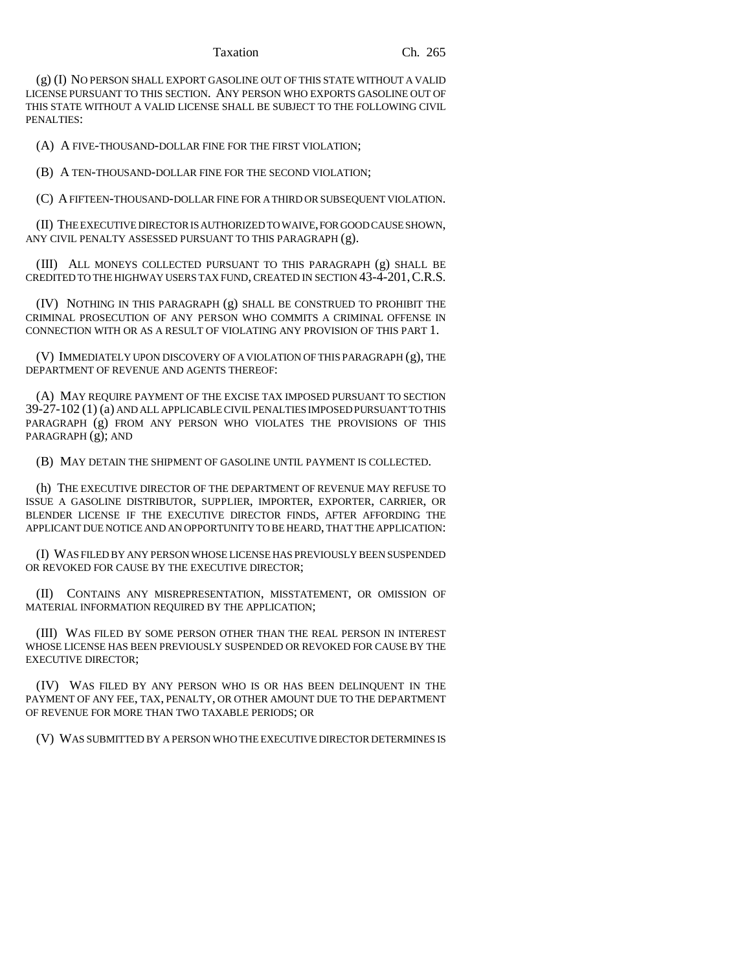(g) (I) NO PERSON SHALL EXPORT GASOLINE OUT OF THIS STATE WITHOUT A VALID LICENSE PURSUANT TO THIS SECTION. ANY PERSON WHO EXPORTS GASOLINE OUT OF THIS STATE WITHOUT A VALID LICENSE SHALL BE SUBJECT TO THE FOLLOWING CIVIL PENALTIES:

(A) A FIVE-THOUSAND-DOLLAR FINE FOR THE FIRST VIOLATION;

(B) A TEN-THOUSAND-DOLLAR FINE FOR THE SECOND VIOLATION;

(C) A FIFTEEN-THOUSAND-DOLLAR FINE FOR A THIRD OR SUBSEQUENT VIOLATION.

(II) THE EXECUTIVE DIRECTOR IS AUTHORIZED TO WAIVE, FOR GOOD CAUSE SHOWN, ANY CIVIL PENALTY ASSESSED PURSUANT TO THIS PARAGRAPH (g).

(III) ALL MONEYS COLLECTED PURSUANT TO THIS PARAGRAPH (g) SHALL BE CREDITED TO THE HIGHWAY USERS TAX FUND, CREATED IN SECTION 43-4-201,C.R.S.

(IV) NOTHING IN THIS PARAGRAPH (g) SHALL BE CONSTRUED TO PROHIBIT THE CRIMINAL PROSECUTION OF ANY PERSON WHO COMMITS A CRIMINAL OFFENSE IN CONNECTION WITH OR AS A RESULT OF VIOLATING ANY PROVISION OF THIS PART 1.

(V) IMMEDIATELY UPON DISCOVERY OF A VIOLATION OF THIS PARAGRAPH (g), THE DEPARTMENT OF REVENUE AND AGENTS THEREOF:

(A) MAY REQUIRE PAYMENT OF THE EXCISE TAX IMPOSED PURSUANT TO SECTION 39-27-102 (1) (a) AND ALL APPLICABLE CIVIL PENALTIES IMPOSED PURSUANT TO THIS PARAGRAPH (g) FROM ANY PERSON WHO VIOLATES THE PROVISIONS OF THIS PARAGRAPH (g); AND

(B) MAY DETAIN THE SHIPMENT OF GASOLINE UNTIL PAYMENT IS COLLECTED.

(h) THE EXECUTIVE DIRECTOR OF THE DEPARTMENT OF REVENUE MAY REFUSE TO ISSUE A GASOLINE DISTRIBUTOR, SUPPLIER, IMPORTER, EXPORTER, CARRIER, OR BLENDER LICENSE IF THE EXECUTIVE DIRECTOR FINDS, AFTER AFFORDING THE APPLICANT DUE NOTICE AND AN OPPORTUNITY TO BE HEARD, THAT THE APPLICATION:

(I) WAS FILED BY ANY PERSON WHOSE LICENSE HAS PREVIOUSLY BEEN SUSPENDED OR REVOKED FOR CAUSE BY THE EXECUTIVE DIRECTOR;

(II) CONTAINS ANY MISREPRESENTATION, MISSTATEMENT, OR OMISSION OF MATERIAL INFORMATION REQUIRED BY THE APPLICATION;

(III) WAS FILED BY SOME PERSON OTHER THAN THE REAL PERSON IN INTEREST WHOSE LICENSE HAS BEEN PREVIOUSLY SUSPENDED OR REVOKED FOR CAUSE BY THE EXECUTIVE DIRECTOR;

(IV) WAS FILED BY ANY PERSON WHO IS OR HAS BEEN DELINQUENT IN THE PAYMENT OF ANY FEE, TAX, PENALTY, OR OTHER AMOUNT DUE TO THE DEPARTMENT OF REVENUE FOR MORE THAN TWO TAXABLE PERIODS; OR

(V) WAS SUBMITTED BY A PERSON WHO THE EXECUTIVE DIRECTOR DETERMINES IS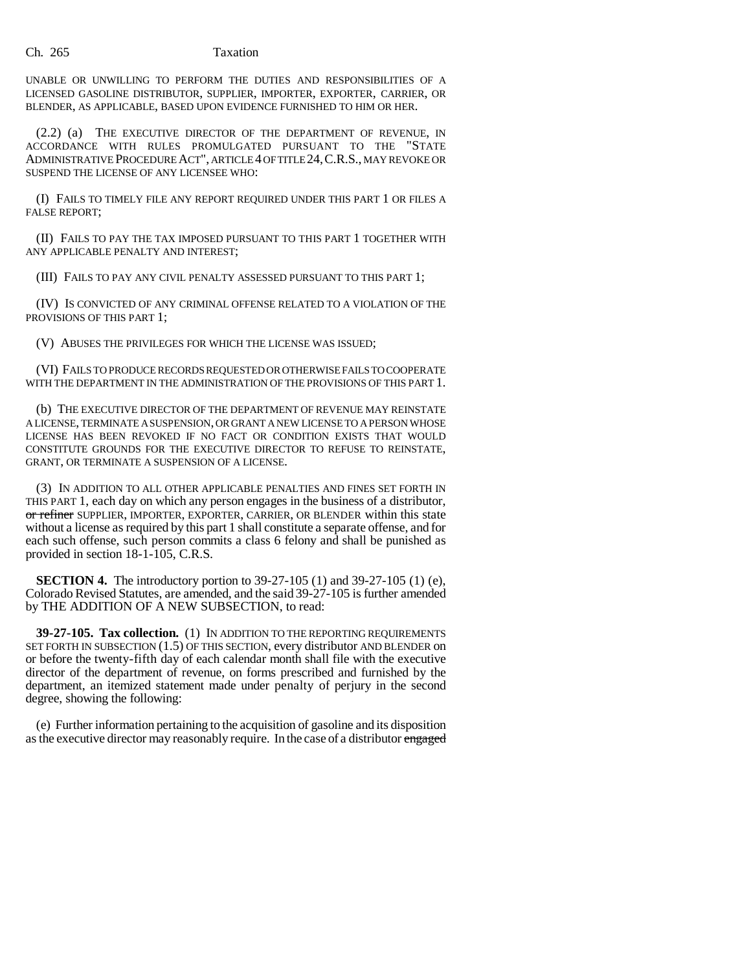UNABLE OR UNWILLING TO PERFORM THE DUTIES AND RESPONSIBILITIES OF A LICENSED GASOLINE DISTRIBUTOR, SUPPLIER, IMPORTER, EXPORTER, CARRIER, OR BLENDER, AS APPLICABLE, BASED UPON EVIDENCE FURNISHED TO HIM OR HER.

(2.2) (a) THE EXECUTIVE DIRECTOR OF THE DEPARTMENT OF REVENUE, IN ACCORDANCE WITH RULES PROMULGATED PURSUANT TO THE "STATE ADMINISTRATIVE PROCEDURE ACT", ARTICLE 4 OF TITLE 24,C.R.S., MAY REVOKE OR SUSPEND THE LICENSE OF ANY LICENSEE WHO:

(I) FAILS TO TIMELY FILE ANY REPORT REQUIRED UNDER THIS PART 1 OR FILES A FALSE REPORT;

(II) FAILS TO PAY THE TAX IMPOSED PURSUANT TO THIS PART 1 TOGETHER WITH ANY APPLICABLE PENALTY AND INTEREST;

(III) FAILS TO PAY ANY CIVIL PENALTY ASSESSED PURSUANT TO THIS PART 1;

(IV) IS CONVICTED OF ANY CRIMINAL OFFENSE RELATED TO A VIOLATION OF THE PROVISIONS OF THIS PART 1;

(V) ABUSES THE PRIVILEGES FOR WHICH THE LICENSE WAS ISSUED;

(VI) FAILS TO PRODUCE RECORDS REQUESTED OR OTHERWISE FAILS TO COOPERATE WITH THE DEPARTMENT IN THE ADMINISTRATION OF THE PROVISIONS OF THIS PART 1.

(b) THE EXECUTIVE DIRECTOR OF THE DEPARTMENT OF REVENUE MAY REINSTATE A LICENSE, TERMINATE A SUSPENSION, OR GRANT A NEW LICENSE TO A PERSON WHOSE LICENSE HAS BEEN REVOKED IF NO FACT OR CONDITION EXISTS THAT WOULD CONSTITUTE GROUNDS FOR THE EXECUTIVE DIRECTOR TO REFUSE TO REINSTATE, GRANT, OR TERMINATE A SUSPENSION OF A LICENSE.

(3) IN ADDITION TO ALL OTHER APPLICABLE PENALTIES AND FINES SET FORTH IN THIS PART 1, each day on which any person engages in the business of a distributor, or refiner SUPPLIER, IMPORTER, EXPORTER, CARRIER, OR BLENDER within this state without a license as required by this part 1 shall constitute a separate offense, and for each such offense, such person commits a class 6 felony and shall be punished as provided in section 18-1-105, C.R.S.

**SECTION 4.** The introductory portion to 39-27-105 (1) and 39-27-105 (1) (e), Colorado Revised Statutes, are amended, and the said 39-27-105 is further amended by THE ADDITION OF A NEW SUBSECTION, to read:

**39-27-105. Tax collection.** (1) IN ADDITION TO THE REPORTING REQUIREMENTS SET FORTH IN SUBSECTION (1.5) OF THIS SECTION, every distributor AND BLENDER on or before the twenty-fifth day of each calendar month shall file with the executive director of the department of revenue, on forms prescribed and furnished by the department, an itemized statement made under penalty of perjury in the second degree, showing the following:

(e) Further information pertaining to the acquisition of gasoline and its disposition as the executive director may reasonably require. In the case of a distributor engaged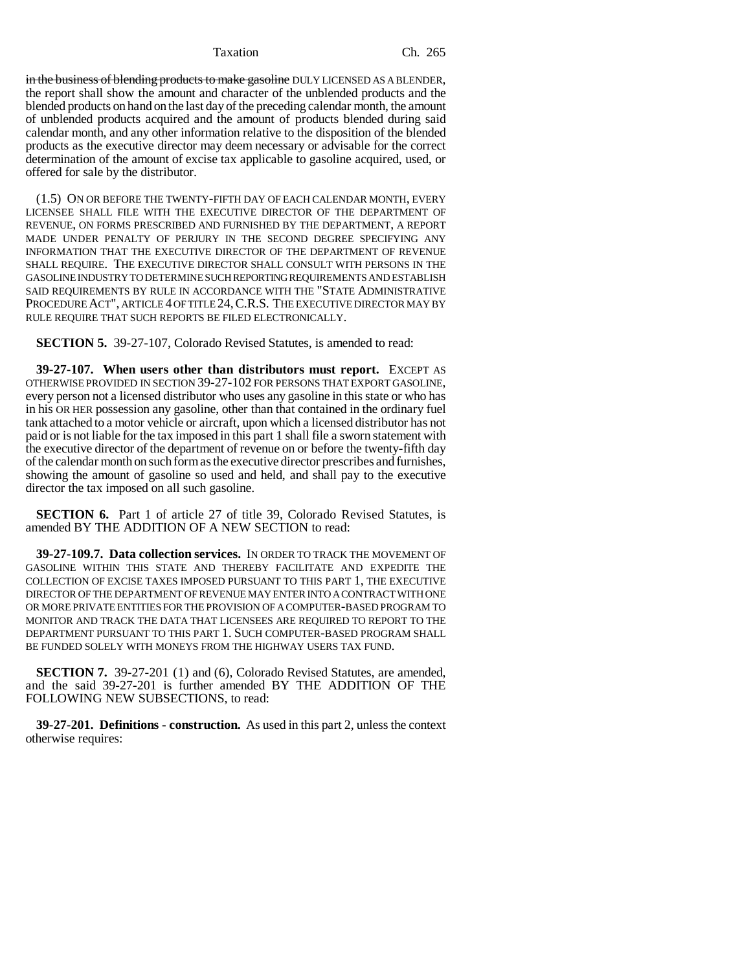in the business of blending products to make gasoline DULY LICENSED AS A BLENDER, the report shall show the amount and character of the unblended products and the blended products on hand on the last day of the preceding calendar month, the amount of unblended products acquired and the amount of products blended during said calendar month, and any other information relative to the disposition of the blended products as the executive director may deem necessary or advisable for the correct determination of the amount of excise tax applicable to gasoline acquired, used, or offered for sale by the distributor.

(1.5) ON OR BEFORE THE TWENTY-FIFTH DAY OF EACH CALENDAR MONTH, EVERY LICENSEE SHALL FILE WITH THE EXECUTIVE DIRECTOR OF THE DEPARTMENT OF REVENUE, ON FORMS PRESCRIBED AND FURNISHED BY THE DEPARTMENT, A REPORT MADE UNDER PENALTY OF PERJURY IN THE SECOND DEGREE SPECIFYING ANY INFORMATION THAT THE EXECUTIVE DIRECTOR OF THE DEPARTMENT OF REVENUE SHALL REQUIRE. THE EXECUTIVE DIRECTOR SHALL CONSULT WITH PERSONS IN THE GASOLINE INDUSTRY TO DETERMINE SUCH REPORTING REQUIREMENTS AND ESTABLISH SAID REQUIREMENTS BY RULE IN ACCORDANCE WITH THE "STATE ADMINISTRATIVE PROCEDURE ACT", ARTICLE 4 OF TITLE 24, C.R.S. THE EXECUTIVE DIRECTOR MAY BY RULE REQUIRE THAT SUCH REPORTS BE FILED ELECTRONICALLY.

**SECTION 5.** 39-27-107, Colorado Revised Statutes, is amended to read:

**39-27-107. When users other than distributors must report.** EXCEPT AS OTHERWISE PROVIDED IN SECTION 39-27-102 FOR PERSONS THAT EXPORT GASOLINE, every person not a licensed distributor who uses any gasoline in this state or who has in his OR HER possession any gasoline, other than that contained in the ordinary fuel tank attached to a motor vehicle or aircraft, upon which a licensed distributor has not paid or is not liable for the tax imposed in this part 1 shall file a sworn statement with the executive director of the department of revenue on or before the twenty-fifth day of the calendar month on such form as the executive director prescribes and furnishes, showing the amount of gasoline so used and held, and shall pay to the executive director the tax imposed on all such gasoline.

**SECTION 6.** Part 1 of article 27 of title 39, Colorado Revised Statutes, is amended BY THE ADDITION OF A NEW SECTION to read:

**39-27-109.7. Data collection services.** IN ORDER TO TRACK THE MOVEMENT OF GASOLINE WITHIN THIS STATE AND THEREBY FACILITATE AND EXPEDITE THE COLLECTION OF EXCISE TAXES IMPOSED PURSUANT TO THIS PART 1, THE EXECUTIVE DIRECTOR OF THE DEPARTMENT OF REVENUE MAY ENTER INTO A CONTRACT WITH ONE OR MORE PRIVATE ENTITIES FOR THE PROVISION OF A COMPUTER-BASED PROGRAM TO MONITOR AND TRACK THE DATA THAT LICENSEES ARE REQUIRED TO REPORT TO THE DEPARTMENT PURSUANT TO THIS PART 1. SUCH COMPUTER-BASED PROGRAM SHALL BE FUNDED SOLELY WITH MONEYS FROM THE HIGHWAY USERS TAX FUND.

**SECTION 7.** 39-27-201 (1) and (6), Colorado Revised Statutes, are amended, and the said 39-27-201 is further amended BY THE ADDITION OF THE FOLLOWING NEW SUBSECTIONS, to read:

**39-27-201. Definitions - construction.** As used in this part 2, unless the context otherwise requires: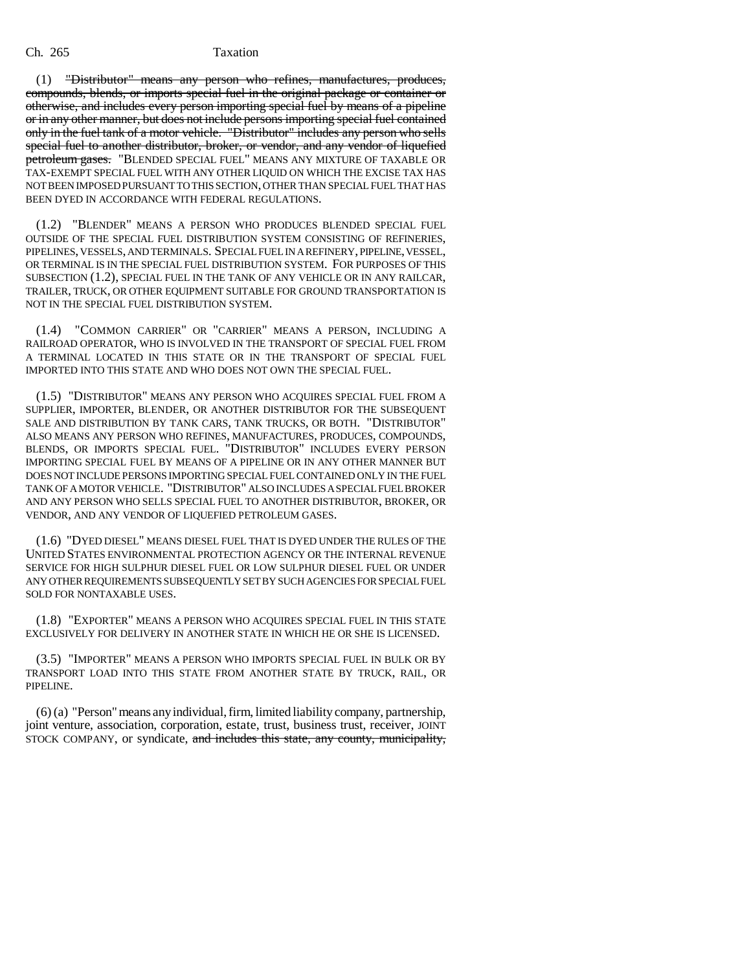(1) "Distributor" means any person who refines, manufactures, produces, compounds, blends, or imports special fuel in the original package or container or otherwise, and includes every person importing special fuel by means of a pipeline or in any other manner, but does not include persons importing special fuel contained only in the fuel tank of a motor vehicle. "Distributor" includes any person who sells special fuel to another distributor, broker, or vendor, and any vendor of liquefied petroleum gases. "BLENDED SPECIAL FUEL" MEANS ANY MIXTURE OF TAXABLE OR TAX-EXEMPT SPECIAL FUEL WITH ANY OTHER LIQUID ON WHICH THE EXCISE TAX HAS NOT BEEN IMPOSED PURSUANT TO THIS SECTION, OTHER THAN SPECIAL FUEL THAT HAS BEEN DYED IN ACCORDANCE WITH FEDERAL REGULATIONS.

(1.2) "BLENDER" MEANS A PERSON WHO PRODUCES BLENDED SPECIAL FUEL OUTSIDE OF THE SPECIAL FUEL DISTRIBUTION SYSTEM CONSISTING OF REFINERIES, PIPELINES, VESSELS, AND TERMINALS. SPECIAL FUEL IN A REFINERY, PIPELINE, VESSEL, OR TERMINAL IS IN THE SPECIAL FUEL DISTRIBUTION SYSTEM. FOR PURPOSES OF THIS SUBSECTION (1.2), SPECIAL FUEL IN THE TANK OF ANY VEHICLE OR IN ANY RAILCAR, TRAILER, TRUCK, OR OTHER EQUIPMENT SUITABLE FOR GROUND TRANSPORTATION IS NOT IN THE SPECIAL FUEL DISTRIBUTION SYSTEM.

(1.4) "COMMON CARRIER" OR "CARRIER" MEANS A PERSON, INCLUDING A RAILROAD OPERATOR, WHO IS INVOLVED IN THE TRANSPORT OF SPECIAL FUEL FROM A TERMINAL LOCATED IN THIS STATE OR IN THE TRANSPORT OF SPECIAL FUEL IMPORTED INTO THIS STATE AND WHO DOES NOT OWN THE SPECIAL FUEL.

(1.5) "DISTRIBUTOR" MEANS ANY PERSON WHO ACQUIRES SPECIAL FUEL FROM A SUPPLIER, IMPORTER, BLENDER, OR ANOTHER DISTRIBUTOR FOR THE SUBSEQUENT SALE AND DISTRIBUTON BY TANK CARS, TANK TRUCKS, OR BOTH. "DISTRIBUTOR" ALSO MEANS ANY PERSON WHO REFINES, MANUFACTURES, PRODUCES, COMPOUNDS, BLENDS, OR IMPORTS SPECIAL FUEL. "DISTRIBUTOR" INCLUDES EVERY PERSON IMPORTING SPECIAL FUEL BY MEANS OF A PIPELINE OR IN ANY OTHER MANNER BUT DOES NOT INCLUDE PERSONS IMPORTING SPECIAL FUEL CONTAINED ONLY IN THE FUEL TANK OF A MOTOR VEHICLE. "DISTRIBUTOR" ALSO INCLUDES A SPECIAL FUEL BROKER AND ANY PERSON WHO SELLS SPECIAL FUEL TO ANOTHER DISTRIBUTOR, BROKER, OR VENDOR, AND ANY VENDOR OF LIQUEFIED PETROLEUM GASES.

(1.6) "DYED DIESEL" MEANS DIESEL FUEL THAT IS DYED UNDER THE RULES OF THE UNITED STATES ENVIRONMENTAL PROTECTION AGENCY OR THE INTERNAL REVENUE SERVICE FOR HIGH SULPHUR DIESEL FUEL OR LOW SULPHUR DIESEL FUEL OR UNDER ANY OTHER REQUIREMENTS SUBSEQUENTLY SET BY SUCH AGENCIES FOR SPECIAL FUEL SOLD FOR NONTAXABLE USES.

(1.8) "EXPORTER" MEANS A PERSON WHO ACQUIRES SPECIAL FUEL IN THIS STATE EXCLUSIVELY FOR DELIVERY IN ANOTHER STATE IN WHICH HE OR SHE IS LICENSED.

(3.5) "IMPORTER" MEANS A PERSON WHO IMPORTS SPECIAL FUEL IN BULK OR BY TRANSPORT LOAD INTO THIS STATE FROM ANOTHER STATE BY TRUCK, RAIL, OR PIPELINE.

(6) (a) "Person" means any individual, firm, limited liability company, partnership, joint venture, association, corporation, estate, trust, business trust, receiver, JOINT STOCK COMPANY, or syndicate, and includes this state, any county, municipality,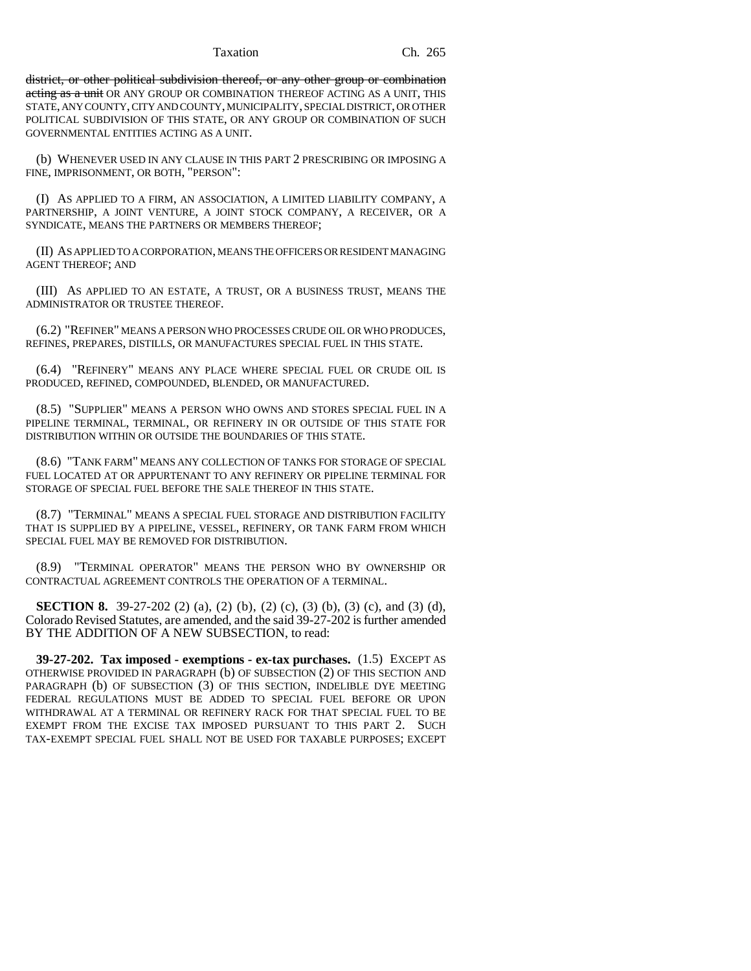district, or other political subdivision thereof, or any other group or combination acting as a unit OR ANY GROUP OR COMBINATION THEREOF ACTING AS A UNIT, THIS STATE, ANY COUNTY, CITY AND COUNTY, MUNICIPALITY, SPECIAL DISTRICT, OR OTHER POLITICAL SUBDIVISION OF THIS STATE, OR ANY GROUP OR COMBINATION OF SUCH GOVERNMENTAL ENTITIES ACTING AS A UNIT.

(b) WHENEVER USED IN ANY CLAUSE IN THIS PART 2 PRESCRIBING OR IMPOSING A FINE, IMPRISONMENT, OR BOTH, "PERSON":

(I) AS APPLIED TO A FIRM, AN ASSOCIATION, A LIMITED LIABILITY COMPANY, A PARTNERSHIP, A JOINT VENTURE, A JOINT STOCK COMPANY, A RECEIVER, OR A SYNDICATE, MEANS THE PARTNERS OR MEMBERS THEREOF;

(II) AS APPLIED TO A CORPORATION, MEANS THE OFFICERS OR RESIDENT MANAGING AGENT THEREOF; AND

(III) AS APPLIED TO AN ESTATE, A TRUST, OR A BUSINESS TRUST, MEANS THE ADMINISTRATOR OR TRUSTEE THEREOF.

(6.2) "REFINER" MEANS A PERSON WHO PROCESSES CRUDE OIL OR WHO PRODUCES, REFINES, PREPARES, DISTILLS, OR MANUFACTURES SPECIAL FUEL IN THIS STATE.

(6.4) "REFINERY" MEANS ANY PLACE WHERE SPECIAL FUEL OR CRUDE OIL IS PRODUCED, REFINED, COMPOUNDED, BLENDED, OR MANUFACTURED.

(8.5) "SUPPLIER" MEANS A PERSON WHO OWNS AND STORES SPECIAL FUEL IN A PIPELINE TERMINAL, TERMINAL, OR REFINERY IN OR OUTSIDE OF THIS STATE FOR DISTRIBUTION WITHIN OR OUTSIDE THE BOUNDARIES OF THIS STATE.

(8.6) "TANK FARM" MEANS ANY COLLECTION OF TANKS FOR STORAGE OF SPECIAL FUEL LOCATED AT OR APPURTENANT TO ANY REFINERY OR PIPELINE TERMINAL FOR STORAGE OF SPECIAL FUEL BEFORE THE SALE THEREOF IN THIS STATE.

(8.7) "TERMINAL" MEANS A SPECIAL FUEL STORAGE AND DISTRIBUTION FACILITY THAT IS SUPPLIED BY A PIPELINE, VESSEL, REFINERY, OR TANK FARM FROM WHICH SPECIAL FUEL MAY BE REMOVED FOR DISTRIBUTION.

(8.9) "TERMINAL OPERATOR" MEANS THE PERSON WHO BY OWNERSHIP OR CONTRACTUAL AGREEMENT CONTROLS THE OPERATION OF A TERMINAL.

**SECTION 8.** 39-27-202 (2) (a), (2) (b), (2) (c), (3) (b), (3) (c), and (3) (d), Colorado Revised Statutes, are amended, and the said 39-27-202 is further amended BY THE ADDITION OF A NEW SUBSECTION, to read:

**39-27-202. Tax imposed - exemptions - ex-tax purchases.** (1.5) EXCEPT AS OTHERWISE PROVIDED IN PARAGRAPH (b) OF SUBSECTION (2) OF THIS SECTION AND PARAGRAPH (b) OF SUBSECTION (3) OF THIS SECTION, INDELIBLE DYE MEETING FEDERAL REGULATIONS MUST BE ADDED TO SPECIAL FUEL BEFORE OR UPON WITHDRAWAL AT A TERMINAL OR REFINERY RACK FOR THAT SPECIAL FUEL TO BE EXEMPT FROM THE EXCISE TAX IMPOSED PURSUANT TO THIS PART 2. SUCH TAX-EXEMPT SPECIAL FUEL SHALL NOT BE USED FOR TAXABLE PURPOSES; EXCEPT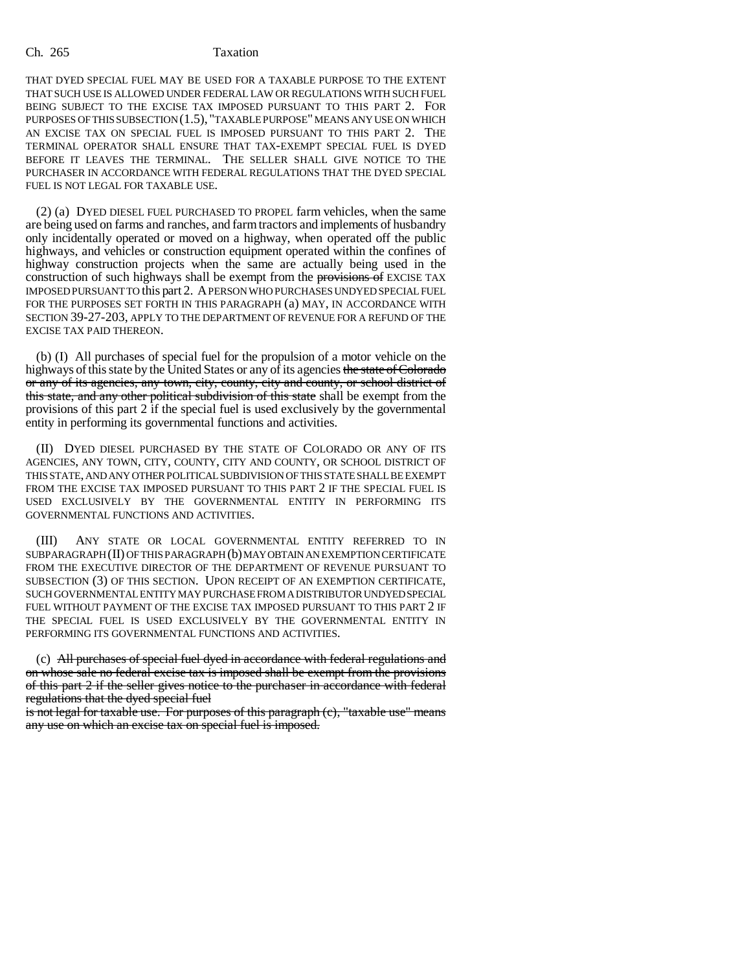THAT DYED SPECIAL FUEL MAY BE USED FOR A TAXABLE PURPOSE TO THE EXTENT THAT SUCH USE IS ALLOWED UNDER FEDERAL LAW OR REGULATIONS WITH SUCH FUEL BEING SUBJECT TO THE EXCISE TAX IMPOSED PURSUANT TO THIS PART 2. FOR PURPOSES OF THIS SUBSECTION (1.5), "TAXABLE PURPOSE" MEANS ANY USE ON WHICH AN EXCISE TAX ON SPECIAL FUEL IS IMPOSED PURSUANT TO THIS PART 2. THE TERMINAL OPERATOR SHALL ENSURE THAT TAX-EXEMPT SPECIAL FUEL IS DYED BEFORE IT LEAVES THE TERMINAL. THE SELLER SHALL GIVE NOTICE TO THE PURCHASER IN ACCORDANCE WITH FEDERAL REGULATIONS THAT THE DYED SPECIAL FUEL IS NOT LEGAL FOR TAXABLE USE.

(2) (a) DYED DIESEL FUEL PURCHASED TO PROPEL farm vehicles, when the same are being used on farms and ranches, and farm tractors and implements of husbandry only incidentally operated or moved on a highway, when operated off the public highways, and vehicles or construction equipment operated within the confines of highway construction projects when the same are actually being used in the construction of such highways shall be exempt from the provisions of EXCISE TAX IMPOSED PURSUANT TO this part 2. A PERSON WHO PURCHASES UNDYED SPECIAL FUEL FOR THE PURPOSES SET FORTH IN THIS PARAGRAPH (a) MAY, IN ACCORDANCE WITH SECTION 39-27-203, APPLY TO THE DEPARTMENT OF REVENUE FOR A REFUND OF THE EXCISE TAX PAID THEREON.

(b) (I) All purchases of special fuel for the propulsion of a motor vehicle on the highways of this state by the United States or any of its agencies the state of Colorado or any of its agencies, any town, city, county, city and county, or school district of this state, and any other political subdivision of this state shall be exempt from the provisions of this part 2 if the special fuel is used exclusively by the governmental entity in performing its governmental functions and activities.

(II) DYED DIESEL PURCHASED BY THE STATE OF COLORADO OR ANY OF ITS AGENCIES, ANY TOWN, CITY, COUNTY, CITY AND COUNTY, OR SCHOOL DISTRICT OF THIS STATE, AND ANY OTHER POLITICAL SUBDIVISION OF THIS STATE SHALL BE EXEMPT FROM THE EXCISE TAX IMPOSED PURSUANT TO THIS PART 2 IF THE SPECIAL FUEL IS USED EXCLUSIVELY BY THE GOVERNMENTAL ENTITY IN PERFORMING ITS GOVERNMENTAL FUNCTIONS AND ACTIVITIES.

(III) ANY STATE OR LOCAL GOVERNMENTAL ENTITY REFERRED TO IN SUBPARAGRAPH (II) OF THIS PARAGRAPH (b) MAY OBTAIN AN EXEMPTION CERTIFICATE FROM THE EXECUTIVE DIRECTOR OF THE DEPARTMENT OF REVENUE PURSUANT TO SUBSECTION (3) OF THIS SECTION. UPON RECEIPT OF AN EXEMPTION CERTIFICATE, SUCH GOVERNMENTAL ENTITY MAY PURCHASE FROM A DISTRIBUTOR UNDYED SPECIAL FUEL WITHOUT PAYMENT OF THE EXCISE TAX IMPOSED PURSUANT TO THIS PART 2 IF THE SPECIAL FUEL IS USED EXCLUSIVELY BY THE GOVERNMENTAL ENTITY IN PERFORMING ITS GOVERNMENTAL FUNCTIONS AND ACTIVITIES.

(c) All purchases of special fuel dyed in accordance with federal regulations and on whose sale no federal excise tax is imposed shall be exempt from the provisions of this part 2 if the seller gives notice to the purchaser in accordance with federal regulations that the dyed special fuel

is not legal for taxable use. For purposes of this paragraph (c), "taxable use" means any use on which an excise tax on special fuel is imposed.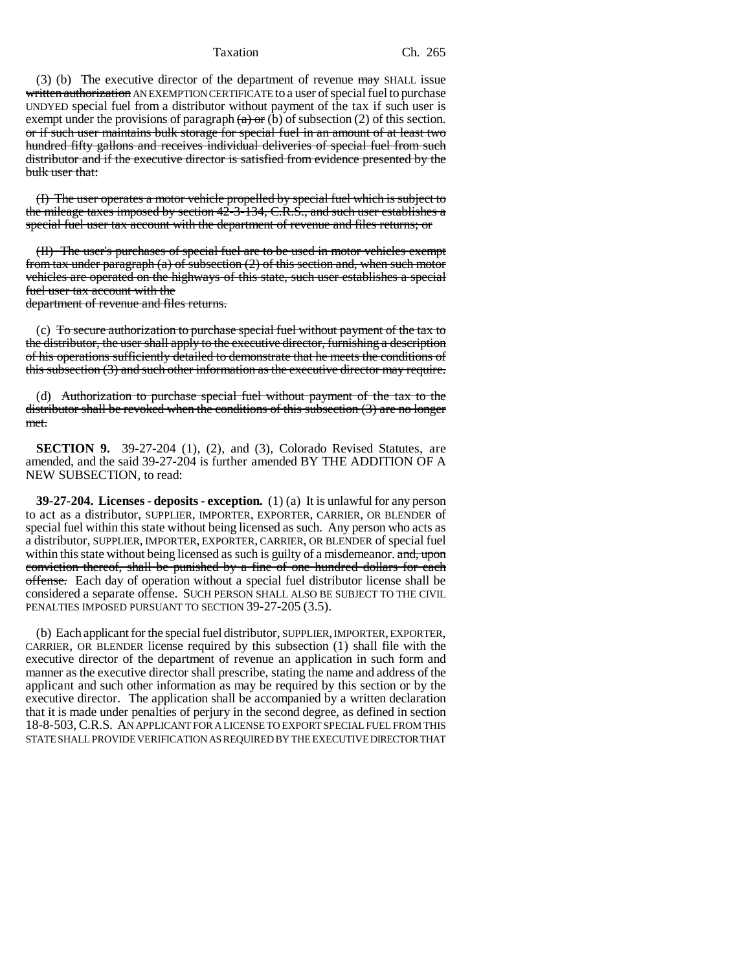(3) (b) The executive director of the department of revenue  $\frac{m}{m}$  SHALL issue written authorization AN EXEMPTION CERTIFICATE to a user of special fuel to purchase UNDYED special fuel from a distributor without payment of the tax if such user is exempt under the provisions of paragraph  $(a)$  or (b) of subsection (2) of this section. or if such user maintains bulk storage for special fuel in an amount of at least two hundred fifty gallons and receives individual deliveries of special fuel from such distributor and if the executive director is satisfied from evidence presented by the bulk user that:

(I) The user operates a motor vehicle propelled by special fuel which is subject to the mileage taxes imposed by section  $42-3-134$ , C.R.S., and such user establishes a special fuel user tax account with the department of revenue and files returns; or

(II) The user's purchases of special fuel are to be used in motor vehicles exempt from tax under paragraph (a) of subsection  $(2)$  of this section and, when such motor vehicles are operated on the highways of this state, such user establishes a special fuel user tax account with the

department of revenue and files returns.

(c) To secure authorization to purchase special fuel without payment of the tax to the distributor, the user shall apply to the executive director, furnishing a description of his operations sufficiently detailed to demonstrate that he meets the conditions of this subsection (3) and such other information as the executive director may require.

(d) Authorization to purchase special fuel without payment of the tax to the distributor shall be revoked when the conditions of this subsection (3) are no longer met.

**SECTION 9.** 39-27-204 (1), (2), and (3), Colorado Revised Statutes, are amended, and the said 39-27-204 is further amended BY THE ADDITION OF A NEW SUBSECTION, to read:

**39-27-204. Licenses - deposits - exception.** (1) (a) It is unlawful for any person to act as a distributor, SUPPLIER, IMPORTER, EXPORTER, CARRIER, OR BLENDER of special fuel within this state without being licensed as such. Any person who acts as a distributor, SUPPLIER, IMPORTER, EXPORTER, CARRIER, OR BLENDER of special fuel within this state without being licensed as such is guilty of a misdemeanor. and, upon conviction thereof, shall be punished by a fine of one hundred dollars for each offense. Each day of operation without a special fuel distributor license shall be considered a separate offense. SUCH PERSON SHALL ALSO BE SUBJECT TO THE CIVIL PENALTIES IMPOSED PURSUANT TO SECTION 39-27-205 (3.5).

(b) Each applicant for the special fuel distributor, SUPPLIER, IMPORTER, EXPORTER, CARRIER, OR BLENDER license required by this subsection (1) shall file with the executive director of the department of revenue an application in such form and manner as the executive director shall prescribe, stating the name and address of the applicant and such other information as may be required by this section or by the executive director. The application shall be accompanied by a written declaration that it is made under penalties of perjury in the second degree, as defined in section 18-8-503, C.R.S. AN APPLICANT FOR A LICENSE TO EXPORT SPECIAL FUEL FROM THIS STATE SHALL PROVIDE VERIFICATION AS REQUIRED BY THE EXECUTIVE DIRECTOR THAT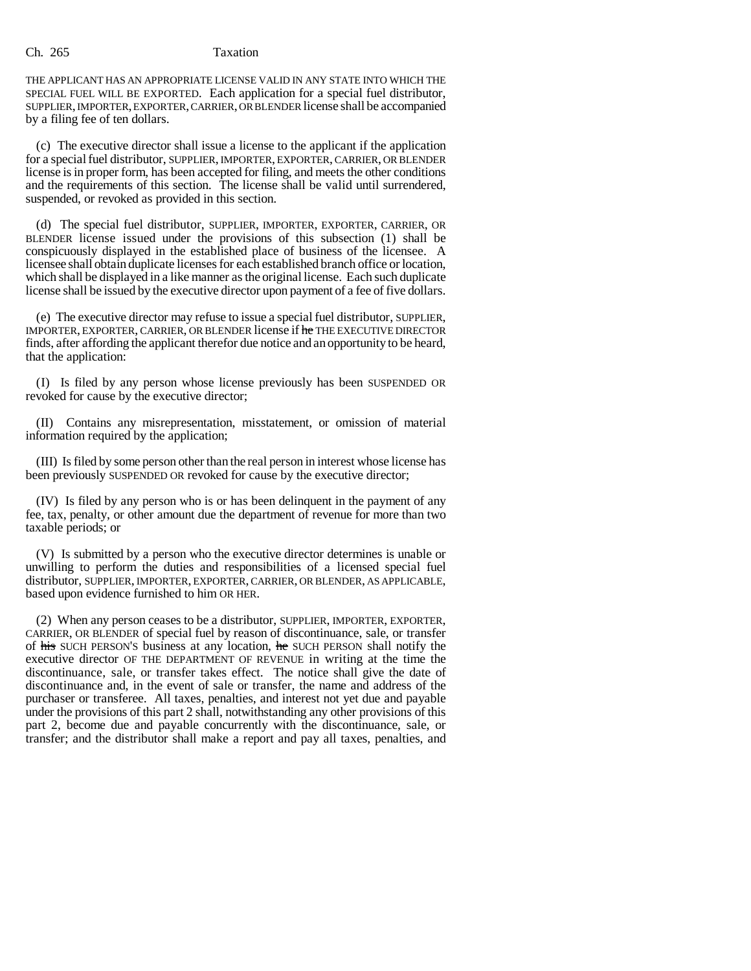THE APPLICANT HAS AN APPROPRIATE LICENSE VALID IN ANY STATE INTO WHICH THE SPECIAL FUEL WILL BE EXPORTED. Each application for a special fuel distributor, SUPPLIER, IMPORTER, EXPORTER, CARRIER, OR BLENDER license shall be accompanied by a filing fee of ten dollars.

(c) The executive director shall issue a license to the applicant if the application for a special fuel distributor, SUPPLIER, IMPORTER, EXPORTER, CARRIER, OR BLENDER license is in proper form, has been accepted for filing, and meets the other conditions and the requirements of this section. The license shall be valid until surrendered, suspended, or revoked as provided in this section.

(d) The special fuel distributor, SUPPLIER, IMPORTER, EXPORTER, CARRIER, OR BLENDER license issued under the provisions of this subsection (1) shall be conspicuously displayed in the established place of business of the licensee. A licensee shall obtain duplicate licenses for each established branch office or location, which shall be displayed in a like manner as the original license. Each such duplicate license shall be issued by the executive director upon payment of a fee of five dollars.

(e) The executive director may refuse to issue a special fuel distributor, SUPPLIER, IMPORTER, EXPORTER, CARRIER, OR BLENDER license if he THE EXECUTIVE DIRECTOR finds, after affording the applicant therefor due notice and an opportunity to be heard, that the application:

(I) Is filed by any person whose license previously has been SUSPENDED OR revoked for cause by the executive director;

(II) Contains any misrepresentation, misstatement, or omission of material information required by the application;

(III) Is filed by some person other than the real person in interest whose license has been previously SUSPENDED OR revoked for cause by the executive director;

(IV) Is filed by any person who is or has been delinquent in the payment of any fee, tax, penalty, or other amount due the department of revenue for more than two taxable periods; or

(V) Is submitted by a person who the executive director determines is unable or unwilling to perform the duties and responsibilities of a licensed special fuel distributor, SUPPLIER, IMPORTER, EXPORTER, CARRIER, OR BLENDER, AS APPLICABLE, based upon evidence furnished to him OR HER.

(2) When any person ceases to be a distributor, SUPPLIER, IMPORTER, EXPORTER, CARRIER, OR BLENDER of special fuel by reason of discontinuance, sale, or transfer of his SUCH PERSON'S business at any location, he SUCH PERSON shall notify the executive director OF THE DEPARTMENT OF REVENUE in writing at the time the discontinuance, sale, or transfer takes effect. The notice shall give the date of discontinuance and, in the event of sale or transfer, the name and address of the purchaser or transferee. All taxes, penalties, and interest not yet due and payable under the provisions of this part 2 shall, notwithstanding any other provisions of this part 2, become due and payable concurrently with the discontinuance, sale, or transfer; and the distributor shall make a report and pay all taxes, penalties, and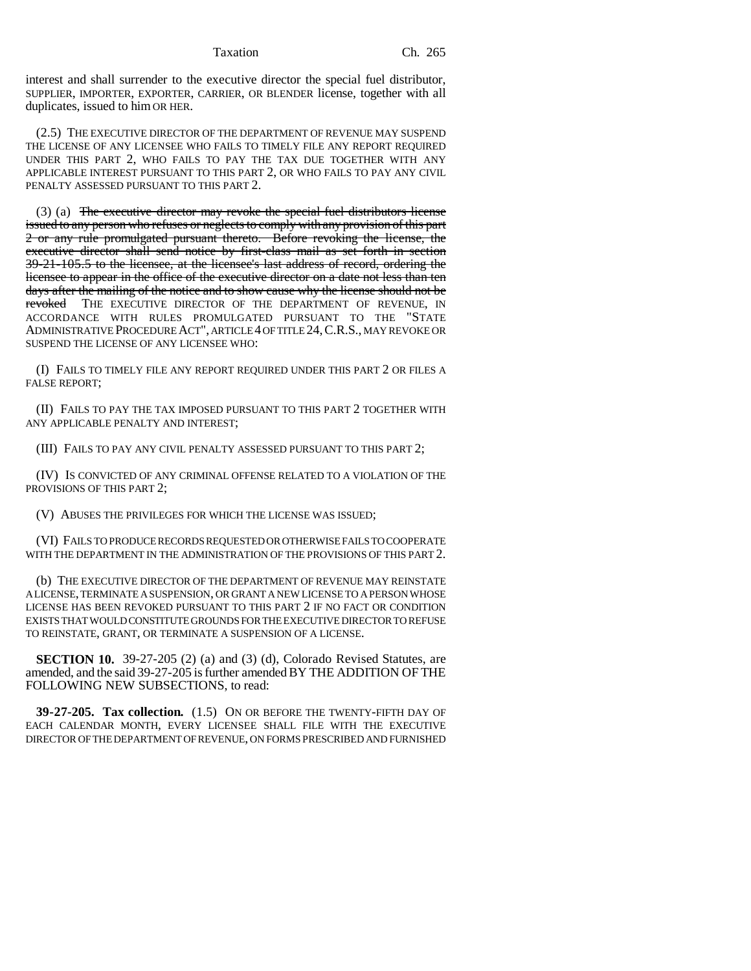interest and shall surrender to the executive director the special fuel distributor, SUPPLIER, IMPORTER, EXPORTER, CARRIER, OR BLENDER license, together with all duplicates, issued to him OR HER.

(2.5) THE EXECUTIVE DIRECTOR OF THE DEPARTMENT OF REVENUE MAY SUSPEND THE LICENSE OF ANY LICENSEE WHO FAILS TO TIMELY FILE ANY REPORT REQUIRED UNDER THIS PART 2, WHO FAILS TO PAY THE TAX DUE TOGETHER WITH ANY APPLICABLE INTEREST PURSUANT TO THIS PART 2, OR WHO FAILS TO PAY ANY CIVIL PENALTY ASSESSED PURSUANT TO THIS PART 2.

(3) (a) The executive director may revoke the special fuel distributors license issued to any person who refuses or neglects to comply with any provision of this part 2 or any rule promulgated pursuant thereto. Before revoking the license, the executive director shall send notice by first-class mail as set forth in section 39-21-105.5 to the licensee, at the licensee's last address of record, ordering the licensee to appear in the office of the executive director on a date not less than ten days after the mailing of the notice and to show cause why the license should not be revoked THE EXECUTIVE DIRECTOR OF THE DEPARTMENT OF REVENUE, IN ACCORDANCE WITH RULES PROMULGATED PURSUANT TO THE "STATE ADMINISTRATIVE PROCEDURE ACT", ARTICLE 4 OF TITLE 24,C.R.S., MAY REVOKE OR SUSPEND THE LICENSE OF ANY LICENSEE WHO:

(I) FAILS TO TIMELY FILE ANY REPORT REQUIRED UNDER THIS PART 2 OR FILES A FALSE REPORT;

(II) FAILS TO PAY THE TAX IMPOSED PURSUANT TO THIS PART 2 TOGETHER WITH ANY APPLICABLE PENALTY AND INTEREST;

(III) FAILS TO PAY ANY CIVIL PENALTY ASSESSED PURSUANT TO THIS PART 2;

(IV) IS CONVICTED OF ANY CRIMINAL OFFENSE RELATED TO A VIOLATION OF THE PROVISIONS OF THIS PART 2;

(V) ABUSES THE PRIVILEGES FOR WHICH THE LICENSE WAS ISSUED;

(VI) FAILS TO PRODUCE RECORDS REQUESTED OR OTHERWISE FAILS TO COOPERATE WITH THE DEPARTMENT IN THE ADMINISTRATION OF THE PROVISIONS OF THIS PART 2.

(b) THE EXECUTIVE DIRECTOR OF THE DEPARTMENT OF REVENUE MAY REINSTATE A LICENSE, TERMINATE A SUSPENSION, OR GRANT A NEW LICENSE TO A PERSON WHOSE LICENSE HAS BEEN REVOKED PURSUANT TO THIS PART 2 IF NO FACT OR CONDITION EXISTS THAT WOULD CONSTITUTE GROUNDS FOR THE EXECUTIVE DIRECTOR TO REFUSE TO REINSTATE, GRANT, OR TERMINATE A SUSPENSION OF A LICENSE.

**SECTION 10.** 39-27-205 (2) (a) and (3) (d), Colorado Revised Statutes, are amended, and the said 39-27-205 is further amended BY THE ADDITION OF THE FOLLOWING NEW SUBSECTIONS, to read:

**39-27-205. Tax collection.** (1.5) ON OR BEFORE THE TWENTY-FIFTH DAY OF EACH CALENDAR MONTH, EVERY LICENSEE SHALL FILE WITH THE EXECUTIVE DIRECTOR OF THE DEPARTMENT OF REVENUE, ON FORMS PRESCRIBED AND FURNISHED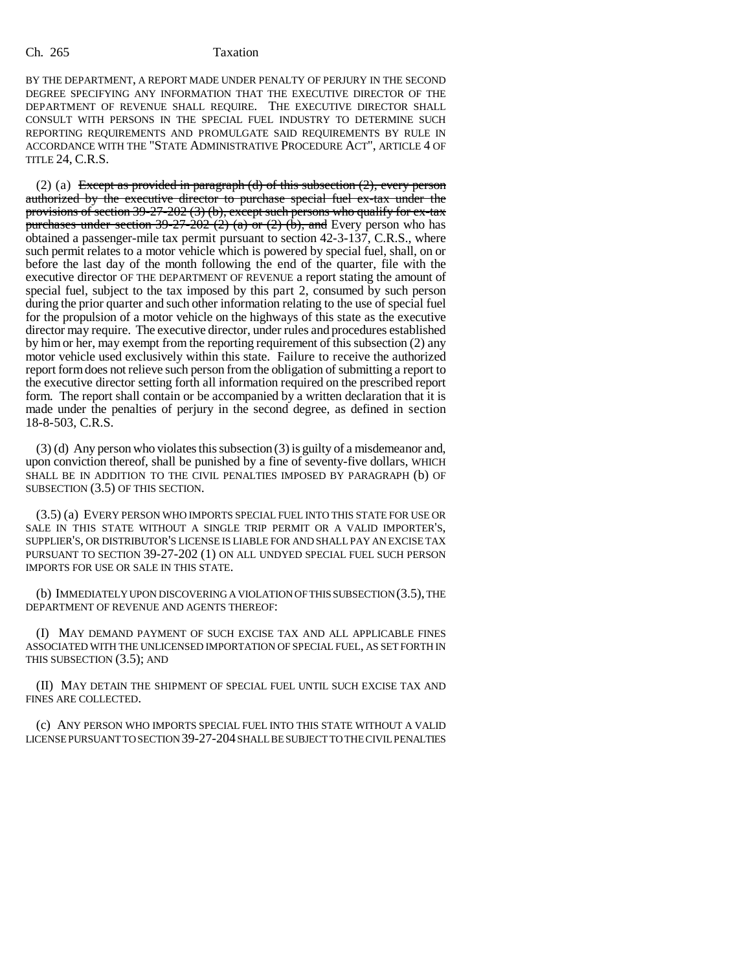BY THE DEPARTMENT, A REPORT MADE UNDER PENALTY OF PERJURY IN THE SECOND DEGREE SPECIFYING ANY INFORMATION THAT THE EXECUTIVE DIRECTOR OF THE DEPARTMENT OF REVENUE SHALL REQUIRE. THE EXECUTIVE DIRECTOR SHALL CONSULT WITH PERSONS IN THE SPECIAL FUEL INDUSTRY TO DETERMINE SUCH REPORTING REQUIREMENTS AND PROMULGATE SAID REQUIREMENTS BY RULE IN ACCORDANCE WITH THE "STATE ADMINISTRATIVE PROCEDURE ACT", ARTICLE 4 OF TITLE 24, C.R.S.

(2) (a) Except as provided in paragraph (d) of this subsection  $(2)$ , every person authorized by the executive director to purchase special fuel ex-tax under the provisions of section  $39-27-202$  (3) (b), except such persons who qualify for ex-tax purchases under section  $39-27-202$  (2) (a) or (2) (b), and Every person who has obtained a passenger-mile tax permit pursuant to section 42-3-137, C.R.S., where such permit relates to a motor vehicle which is powered by special fuel, shall, on or before the last day of the month following the end of the quarter, file with the executive director OF THE DEPARTMENT OF REVENUE a report stating the amount of special fuel, subject to the tax imposed by this part 2, consumed by such person during the prior quarter and such other information relating to the use of special fuel for the propulsion of a motor vehicle on the highways of this state as the executive director may require. The executive director, under rules and procedures established by him or her, may exempt from the reporting requirement of this subsection (2) any motor vehicle used exclusively within this state. Failure to receive the authorized report form does not relieve such person from the obligation of submitting a report to the executive director setting forth all information required on the prescribed report form. The report shall contain or be accompanied by a written declaration that it is made under the penalties of perjury in the second degree, as defined in section 18-8-503, C.R.S.

(3) (d) Any person who violates this subsection (3) is guilty of a misdemeanor and, upon conviction thereof, shall be punished by a fine of seventy-five dollars, WHICH SHALL BE IN ADDITION TO THE CIVIL PENALTIES IMPOSED BY PARAGRAPH (b) OF SUBSECTION (3.5) OF THIS SECTION.

(3.5) (a) EVERY PERSON WHO IMPORTS SPECIAL FUEL INTO THIS STATE FOR USE OR SUPPLIER'S, OR DISTRIBUTOR'S LICENSE IS LIABLE FOR AND SHALL PAY AN EXCISE TAX PURSUANT TO SECTION 39-27-202 (1) ON ALL UNDYED SPECIAL FUEL SUCH PERSON IMPORTS FOR USE OR SALE IN THIS STATE.

(b) IMMEDIATELY UPON DISCOVERING A VIOLATION OF THIS SUBSECTION (3.5), THE DEPARTMENT OF REVENUE AND AGENTS THEREOF:

(I) MAY DEMAND PAYMENT OF SUCH EXCISE TAX AND ALL APPLICABLE FINES ASSOCIATED WITH THE UNLICENSED IMPORTATION OF SPECIAL FUEL, AS SET FORTH IN THIS SUBSECTION (3.5); AND

(II) MAY DETAIN THE SHIPMENT OF SPECIAL FUEL UNTIL SUCH EXCISE TAX AND FINES ARE COLLECTED.

(c) ANY PERSON WHO IMPORTS SPECIAL FUEL INTO THIS STATE WITHOUT A VALID LICENSE PURSUANT TO SECTION 39-27-204 SHALL BE SUBJECT TO THE CIVIL PENALTIES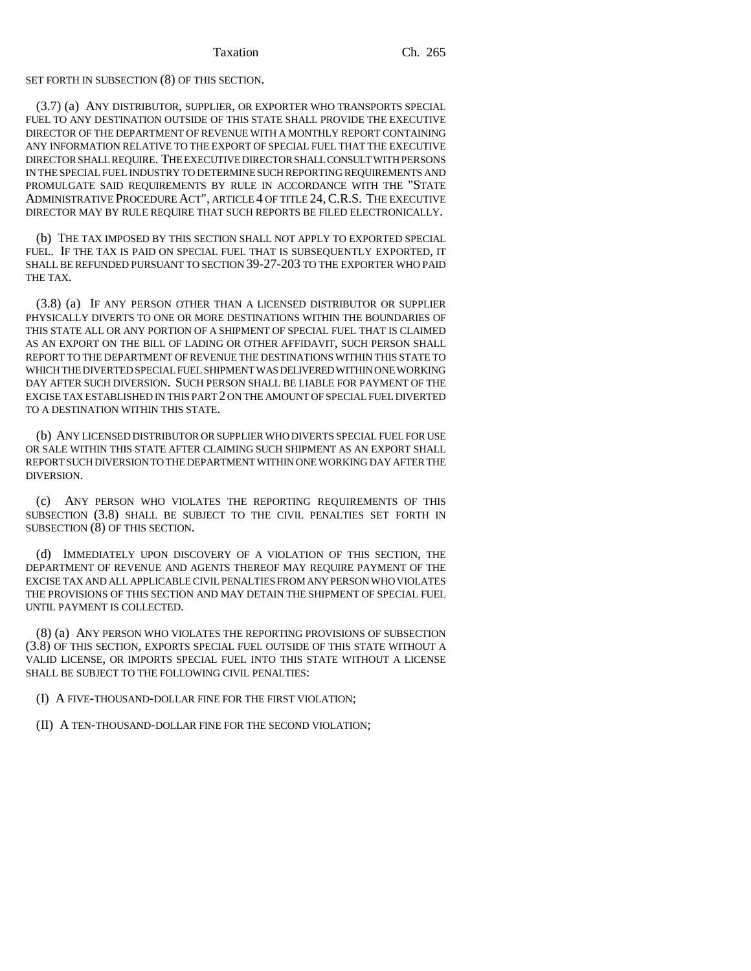## SET FORTH IN SUBSECTION (8) OF THIS SECTION.

(3.7) (a) ANY DISTRIBUTOR, SUPPLIER, OR EXPORTER WHO TRANSPORTS SPECIAL FUEL TO ANY DESTINATION OUTSIDE OF THIS STATE SHALL PROVIDE THE EXECUTIVE DIRECTOR OF THE DEPARTMENT OF REVENUE WITH A MONTHLY REPORT CONTAINING ANY INFORMATION RELATIVE TO THE EXPORT OF SPECIAL FUEL THAT THE EXECUTIVE DIRECTOR SHALL REQUIRE. THE EXECUTIVE DIRECTOR SHALL CONSULT WITH PERSONS IN THE SPECIAL FUEL INDUSTRY TO DETERMINE SUCH REPORTING REQUIREMENTS AND PROMULGATE SAID REQUIREMENTS BY RULE IN ACCORDANCE WITH THE "STATE ADMINISTRATIVE PROCEDURE ACT", ARTICLE 4 OF TITLE 24, C.R.S. THE EXECUTIVE DIRECTOR MAY BY RULE REQUIRE THAT SUCH REPORTS BE FILED ELECTRONICALLY.

(b) THE TAX IMPOSED BY THIS SECTION SHALL NOT APPLY TO EXPORTED SPECIAL FUEL. IF THE TAX IS PAID ON SPECIAL FUEL THAT IS SUBSEQUENTLY EXPORTED, IT SHALL BE REFUNDED PURSUANT TO SECTION 39-27-203 TO THE EXPORTER WHO PAID THE TAX.

(3.8) (a) IF ANY PERSON OTHER THAN A LICENSED DISTRIBUTOR OR SUPPLIER PHYSICALLY DIVERTS TO ONE OR MORE DESTINATIONS WITHIN THE BOUNDARIES OF THIS STATE ALL OR ANY PORTION OF A SHIPMENT OF SPECIAL FUEL THAT IS CLAIMED AS AN EXPORT ON THE BILL OF LADING OR OTHER AFFIDAVIT, SUCH PERSON SHALL REPORT TO THE DEPARTMENT OF REVENUE THE DESTINATIONS WITHIN THIS STATE TO WHICH THE DIVERTED SPECIAL FUEL SHIPMENT WAS DELIVERED WITHIN ONE WORKING DAY AFTER SUCH DIVERSION. SUCH PERSON SHALL BE LIABLE FOR PAYMENT OF THE EXCISE TAX ESTABLISHED IN THIS PART 2 ON THE AMOUNT OF SPECIAL FUEL DIVERTED TO A DESTINATION WITHIN THIS STATE.

(b) ANY LICENSED DISTRIBUTOR OR SUPPLIER WHO DIVERTS SPECIAL FUEL FOR USE OR SALE WITHIN THIS STATE AFTER CLAIMING SUCH SHIPMENT AS AN EXPORT SHALL REPORT SUCH DIVERSION TO THE DEPARTMENT WITHIN ONE WORKING DAY AFTER THE DIVERSION.

(c) ANY PERSON WHO VIOLATES THE REPORTING REQUIREMENTS OF THIS SUBSECTION (3.8) SHALL BE SUBJECT TO THE CIVIL PENALTIES SET FORTH IN SUBSECTION (8) OF THIS SECTION.

(d) IMMEDIATELY UPON DISCOVERY OF A VIOLATION OF THIS SECTION, THE DEPARTMENT OF REVENUE AND AGENTS THEREOF MAY REQUIRE PAYMENT OF THE EXCISE TAX AND ALL APPLICABLE CIVIL PENALTIES FROM ANY PERSON WHO VIOLATES THE PROVISIONS OF THIS SECTION AND MAY DETAIN THE SHIPMENT OF SPECIAL FUEL UNTIL PAYMENT IS COLLECTED.

(8) (a) ANY PERSON WHO VIOLATES THE REPORTING PROVISIONS OF SUBSECTION (3.8) OF THIS SECTION, EXPORTS SPECIAL FUEL OUTSIDE OF THIS STATE WITHOUT A VALID LICENSE, OR IMPORTS SPECIAL FUEL INTO THIS STATE WITHOUT A LICENSE SHALL BE SUBJECT TO THE FOLLOWING CIVIL PENALTIES:

(I) A FIVE-THOUSAND-DOLLAR FINE FOR THE FIRST VIOLATION;

(II) A TEN-THOUSAND-DOLLAR FINE FOR THE SECOND VIOLATION;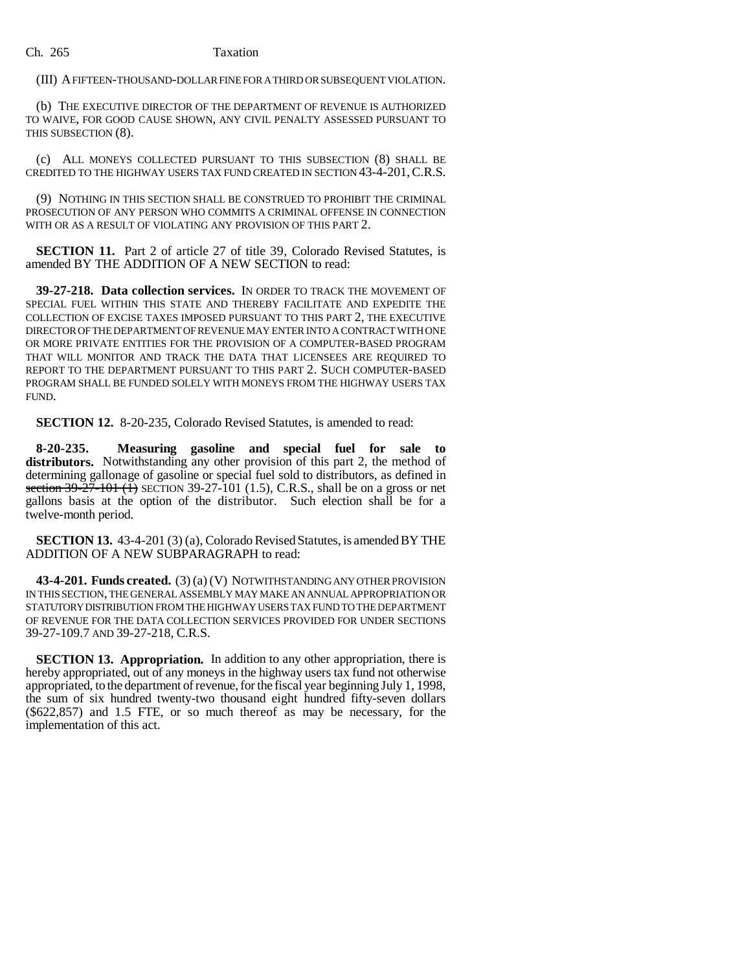(III) A FIFTEEN-THOUSAND-DOLLAR FINE FOR A THIRD OR SUBSEQUENT VIOLATION.

(b) THE EXECUTIVE DIRECTOR OF THE DEPARTMENT OF REVENUE IS AUTHORIZED TO WAIVE, FOR GOOD CAUSE SHOWN, ANY CIVIL PENALTY ASSESSED PURSUANT TO THIS SUBSECTION (8).

(c) ALL MONEYS COLLECTED PURSUANT TO THIS SUBSECTION (8) SHALL BE CREDITED TO THE HIGHWAY USERS TAX FUND CREATED IN SECTION 43-4-201, C.R.S.

(9) NOTHING IN THIS SECTION SHALL BE CONSTRUED TO PROHIBIT THE CRIMINAL PROSECUTION OF ANY PERSON WHO COMMITS A CRIMINAL OFFENSE IN CONNECTION WITH OR AS A RESULT OF VIOLATING ANY PROVISION OF THIS PART 2.

**SECTION 11.** Part 2 of article 27 of title 39. Colorado Revised Statutes, is amended BY THE ADDITION OF A NEW SECTION to read:

**39-27-218. Data collection services.** IN ORDER TO TRACK THE MOVEMENT OF SPECIAL FUEL WITHIN THIS STATE AND THEREBY FACILITATE AND EXPEDITE THE COLLECTION OF EXCISE TAXES IMPOSED PURSUANT TO THIS PART 2, THE EXECUTIVE DIRECTOR OF THE DEPARTMENT OF REVENUE MAY ENTER INTO A CONTRACT WITH ONE OR MORE PRIVATE ENTITIES FOR THE PROVISION OF A COMPUTER-BASED PROGRAM THAT WILL MONITOR AND TRACK THE DATA THAT LICENSEES ARE REQUIRED TO REPORT TO THE DEPARTMENT PURSUANT TO THIS PART 2. SUCH COMPUTER-BASED PROGRAM SHALL BE FUNDED SOLELY WITH MONEYS FROM THE HIGHWAY USERS TAX FUND.

**SECTION 12.** 8-20-235, Colorado Revised Statutes, is amended to read:

**8-20-235. Measuring gasoline and special fuel for sale to distributors.** Notwithstanding any other provision of this part 2, the method of determining gallonage of gasoline or special fuel sold to distributors, as defined in section  $39 - 27 - 101$  (1) SECTION 39-27-101 (1.5), C.R.S., shall be on a gross or net gallons basis at the option of the distributor. Such election shall be for a twelve-month period.

**SECTION 13.** 43-4-201 (3) (a), Colorado Revised Statutes, is amended BY THE ADDITION OF A NEW SUBPARAGRAPH to read:

**43-4-201. Funds created.** (3) (a) (V) NOTWITHSTANDING ANY OTHER PROVISION IN THIS SECTION, THE GENERAL ASSEMBLY MAY MAKE AN ANNUAL APPROPRIATION OR STATUTORY DISTRIBUTION FROM THE HIGHWAY USERS TAX FUND TO THE DEPARTMENT OF REVENUE FOR THE DATA COLLECTION SERVICES PROVIDED FOR UNDER SECTIONS 39-27-109.7 AND 39-27-218, C.R.S.

**SECTION 13. Appropriation.** In addition to any other appropriation, there is hereby appropriated, out of any moneys in the highway users tax fund not otherwise appropriated, to the department of revenue, for the fiscal year beginning July 1, 1998, the sum of six hundred twenty-two thousand eight hundred fifty-seven dollars (\$622,857) and 1.5 FTE, or so much thereof as may be necessary, for the implementation of this act.